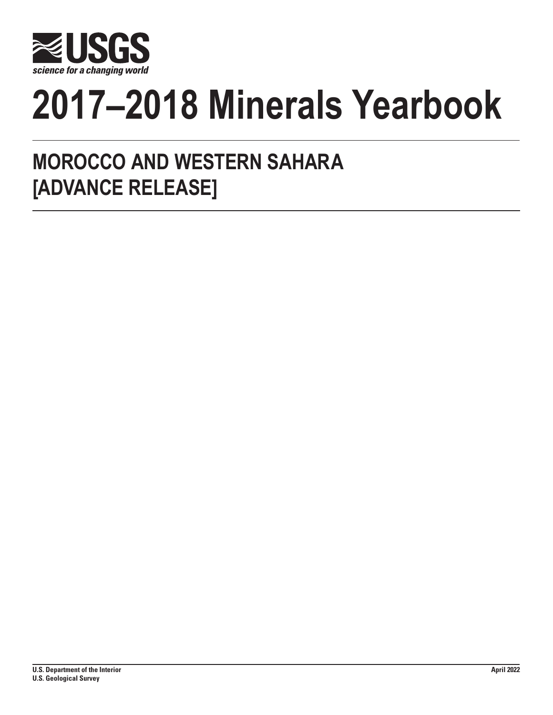

# **2017–2018 Minerals Yearbook**

# **MOROCCO AND WESTERN SAHARA [ADVANCE RELEASE]**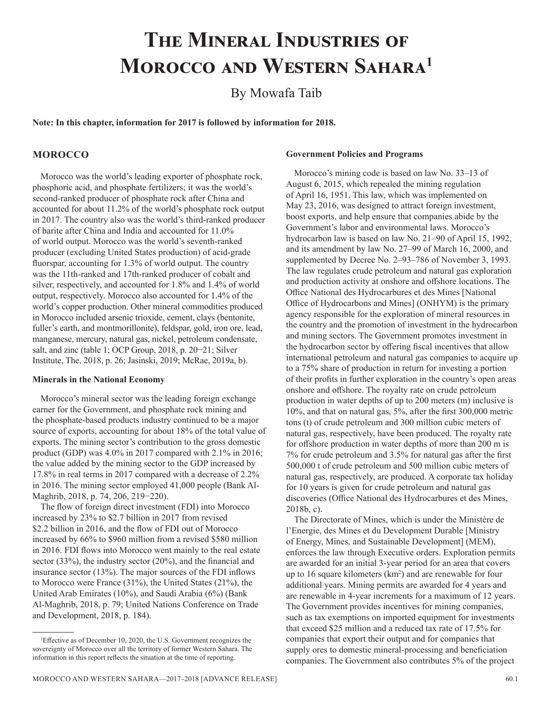# **The Mineral Industries of Morocco and Western Sahara<sup>1</sup>**

By Mowafa Taib

**Note: In this chapter, information for 2017 is followed by information for 2018.**

# **MOROCCO**

Morocco was the world's leading exporter of phosphate rock, phosphoric acid, and phosphate fertilizers; it was the world's second-ranked producer of phosphate rock after China and accounted for about 11.2% of the world's phosphate rock output in 2017. The country also was the world's third-ranked producer of barite after China and India and accounted for 11.0% of world output. Morocco was the world's seventh-ranked producer (excluding United States production) of acid-grade fluorspar, accounting for 1.3% of world output. The country was the 11th-ranked and 17th-ranked producer of cobalt and silver, respectively, and accounted for 1.8% and 1.4% of world output, respectively. Morocco also accounted for 1.4% of the world's copper production. Other mineral commodities produced in Morocco included arsenic trioxide, cement, clays (bentonite, fuller's earth, and montmorillonite), feldspar, gold, iron ore, lead, manganese, mercury, natural gas, nickel, petroleum condensate, salt, and zinc (table 1; OCP Group, 2018, p. 20−21; Silver Institute, The, 2018, p. 26; Jasinski, 2019; McRae, 2019a, b).

#### **Minerals in the National Economy**

Morocco's mineral sector was the leading foreign exchange earner for the Government, and phosphate rock mining and the phosphate-based products industry continued to be a major source of exports, accounting for about 18% of the total value of exports. The mining sector's contribution to the gross domestic product (GDP) was 4.0% in 2017 compared with 2.1% in 2016; the value added by the mining sector to the GDP increased by 17.8% in real terms in 2017 compared with a decrease of 2.2% in 2016. The mining sector employed 41,000 people (Bank Al-Maghrib, 2018, p. 74, 206, 219−220).

The flow of foreign direct investment (FDI) into Morocco increased by 23% to \$2.7 billion in 2017 from revised \$2.2 billion in 2016, and the flow of FDI out of Morocco increased by 66% to \$960 million from a revised \$580 million in 2016. FDI flows into Morocco went mainly to the real estate sector (33%), the industry sector (20%), and the financial and insurance sector (13%). The major sources of the FDI inflows to Morocco were France (31%), the United States (21%), the United Arab Emirates (10%), and Saudi Arabia (6%) (Bank Al-Maghrib, 2018, p. 79; United Nations Conference on Trade and Development, 2018, p. 184).

#### **Government Policies and Programs**

Morocco's mining code is based on law No. 33–13 of August 6, 2015, which repealed the mining regulation of April 16, 1951. This law, which was implemented on May 23, 2016, was designed to attract foreign investment, boost exports, and help ensure that companies abide by the Government's labor and environmental laws. Morocco's hydrocarbon law is based on law No. 21–90 of April 15, 1992, and its amendment by law No. 27–99 of March 16, 2000, and supplemented by Decree No. 2–93–786 of November 3, 1993. The law regulates crude petroleum and natural gas exploration and production activity at onshore and offshore locations. The Office National des Hydrocarbures et des Mines [National Office of Hydrocarbons and Mines] (ONHYM) is the primary agency responsible for the exploration of mineral resources in the country and the promotion of investment in the hydrocarbon and mining sectors. The Government promotes investment in the hydrocarbon sector by offering fiscal incentives that allow international petroleum and natural gas companies to acquire up to a 75% share of production in return for investing a portion of their profits in further exploration in the country's open areas onshore and offshore. The royalty rate on crude petroleum production in water depths of up to 200 meters (m) inclusive is 10%, and that on natural gas, 5%, after the first 300,000 metric tons (t) of crude petroleum and 300 million cubic meters of natural gas, respectively, have been produced. The royalty rate for offshore production in water depths of more than 200 m is 7% for crude petroleum and 3.5% for natural gas after the first 500,000 t of crude petroleum and 500 million cubic meters of natural gas, respectively, are produced. A corporate tax holiday for 10 years is given for crude petroleum and natural gas discoveries (Office National des Hydrocarbures et des Mines, 2018b, c).

The Directorate of Mines, which is under the Ministère de l'Energie, des Mines et du Development Durable [Ministry of Energy, Mines, and Sustainable Development] (MEM), enforces the law through Executive orders. Exploration permits are awarded for an initial 3-year period for an area that covers up to 16 square kilometers (km2 ) and are renewable for four additional years. Mining permits are awarded for 4 years and are renewable in 4-year increments for a maximum of 12 years. The Government provides incentives for mining companies, such as tax exemptions on imported equipment for investments that exceed \$25 million and a reduced tax rate of 17.5% for companies that export their output and for companies that supply ores to domestic mineral-processing and beneficiation companies. The Government also contributes 5% of the project

<sup>1</sup> Effective as of December 10, 2020, the U.S. Government recognizes the sovereignty of Morocco over all the territory of former Western Sahara. The information in this report reflects the situation at the time of reporting.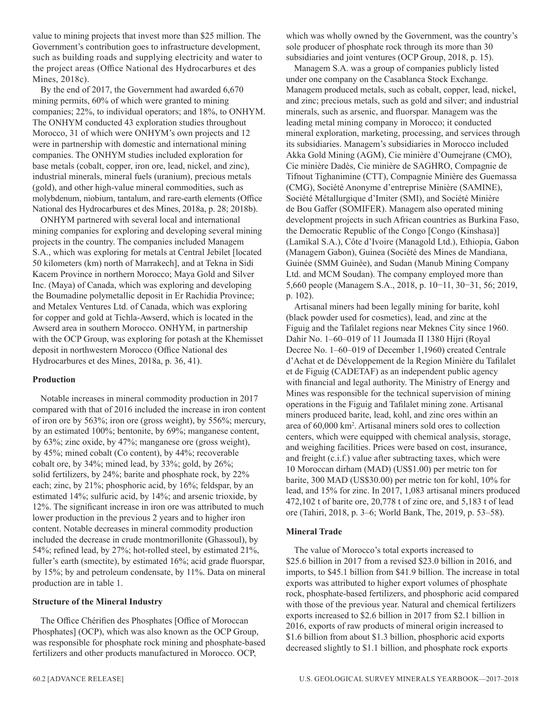value to mining projects that invest more than \$25 million. The Government's contribution goes to infrastructure development, such as building roads and supplying electricity and water to the project areas (Office National des Hydrocarbures et des Mines, 2018c).

By the end of 2017, the Government had awarded 6,670 mining permits, 60% of which were granted to mining companies; 22%, to individual operators; and 18%, to ONHYM. The ONHYM conducted 43 exploration studies throughout Morocco, 31 of which were ONHYM's own projects and 12 were in partnership with domestic and international mining companies. The ONHYM studies included exploration for base metals (cobalt, copper, iron ore, lead, nickel, and zinc), industrial minerals, mineral fuels (uranium), precious metals (gold), and other high-value mineral commodities, such as molybdenum, niobium, tantalum, and rare-earth elements (Office National des Hydrocarbures et des Mines, 2018a, p. 28; 2018b).

ONHYM partnered with several local and international mining companies for exploring and developing several mining projects in the country. The companies included Managem S.A., which was exploring for metals at Central Jebilet [located 50 kilometers (km) north of Marrakech], and at Tekna in Sidi Kacem Province in northern Morocco; Maya Gold and Silver Inc. (Maya) of Canada, which was exploring and developing the Boumadine polymetallic deposit in Er Rachidia Province; and Metalex Ventures Ltd. of Canada, which was exploring for copper and gold at Tichla-Awserd, which is located in the Awserd area in southern Morocco. ONHYM, in partnership with the OCP Group, was exploring for potash at the Khemisset deposit in northwestern Morocco (Office National des Hydrocarbures et des Mines, 2018a, p. 36, 41).

#### **Production**

Notable increases in mineral commodity production in 2017 compared with that of 2016 included the increase in iron content of iron ore by 563%; iron ore (gross weight), by 556%; mercury, by an estimated 100%; bentonite, by 69%; manganese content, by 63%; zinc oxide, by 47%; manganese ore (gross weight), by 45%; mined cobalt (Co content), by 44%; recoverable cobalt ore, by 34%; mined lead, by 33%; gold, by 26%; solid fertilizers, by 24%; barite and phosphate rock, by 22% each; zinc, by 21%; phosphoric acid, by 16%; feldspar, by an estimated 14%; sulfuric acid, by 14%; and arsenic trioxide, by 12%. The significant increase in iron ore was attributed to much lower production in the previous 2 years and to higher iron content. Notable decreases in mineral commodity production included the decrease in crude montmorillonite (Ghassoul), by 54%; refined lead, by 27%; hot-rolled steel, by estimated 21%, fuller's earth (smectite), by estimated 16%; acid grade fluorspar, by 15%; by and petroleum condensate, by 11%. Data on mineral production are in table 1.

### **Structure of the Mineral Industry**

The Office Chérifien des Phosphates [Office of Moroccan Phosphates] (OCP), which was also known as the OCP Group, was responsible for phosphate rock mining and phosphate-based fertilizers and other products manufactured in Morocco. OCP,

which was wholly owned by the Government, was the country's sole producer of phosphate rock through its more than 30 subsidiaries and joint ventures (OCP Group, 2018, p. 15).

Managem S.A. was a group of companies publicly listed under one company on the Casablanca Stock Exchange. Managem produced metals, such as cobalt, copper, lead, nickel, and zinc; precious metals, such as gold and silver; and industrial minerals, such as arsenic, and fluorspar. Managem was the leading metal mining company in Morocco; it conducted mineral exploration, marketing, processing, and services through its subsidiaries. Managem's subsidiaries in Morocco included Akka Gold Mining (AGM), Cie minière d'Oumejrane (CMO), Cie minière Dadès, Cie minière de SAGHRO, Compagnie de Tifnout Tighanimine (CTT), Compagnie Minière des Guemassa (CMG), Société Anonyme d'entreprise Minière (SAMINE), Société Métallurgique d'Imiter (SMI), and Société Minière de Bou Gaffer (SOMIFER). Managem also operated mining development projects in such African countries as Burkina Faso, the Democratic Republic of the Congo [Congo (Kinshasa)] (Lamikal S.A.), Côte d'Ivoire (Managold Ltd.), Ethiopia, Gabon (Managem Gabon), Guinea (Société des Mines de Mandiana, Guinée (SMM Guinée), and Sudan (Manub Mining Company Ltd. and MCM Soudan). The company employed more than 5,660 people (Managem S.A., 2018, p. 10−11, 30−31, 56; 2019, p. 102).

Artisanal miners had been legally mining for barite, kohl (black powder used for cosmetics), lead, and zinc at the Figuig and the Tafilalet regions near Meknes City since 1960. Dahir No. 1–60–019 of 11 Joumada II 1380 Hijri (Royal Decree No. 1–60–019 of December 1,1960) created Centrale d'Achat et de Développement de la Region Minière du Tafilalet et de Figuig (CADETAF) as an independent public agency with financial and legal authority. The Ministry of Energy and Mines was responsible for the technical supervision of mining operations in the Figuig and Tafilalet mining zone. Artisanal miners produced barite, lead, kohl, and zinc ores within an area of 60,000 km2 . Artisanal miners sold ores to collection centers, which were equipped with chemical analysis, storage, and weighing facilities. Prices were based on cost, insurance, and freight (c.i.f.) value after subtracting taxes, which were 10 Moroccan dirham (MAD) (US\$1.00) per metric ton for barite, 300 MAD (US\$30.00) per metric ton for kohl, 10% for lead, and 15% for zinc. In 2017, 1,083 artisanal miners produced 472,102 t of barite ore, 20,778 t of zinc ore, and 5,183 t of lead ore (Tahiri, 2018, p. 3–6; World Bank, The, 2019, p. 53–58).

#### **Mineral Trade**

The value of Morocco's total exports increased to \$25.6 billion in 2017 from a revised \$23.0 billion in 2016, and imports, to \$45.1 billion from \$41.9 billion. The increase in total exports was attributed to higher export volumes of phosphate rock, phosphate-based fertilizers, and phosphoric acid compared with those of the previous year. Natural and chemical fertilizers exports increased to \$2.6 billion in 2017 from \$2.1 billion in 2016, exports of raw products of mineral origin increased to \$1.6 billion from about \$1.3 billion, phosphoric acid exports decreased slightly to \$1.1 billion, and phosphate rock exports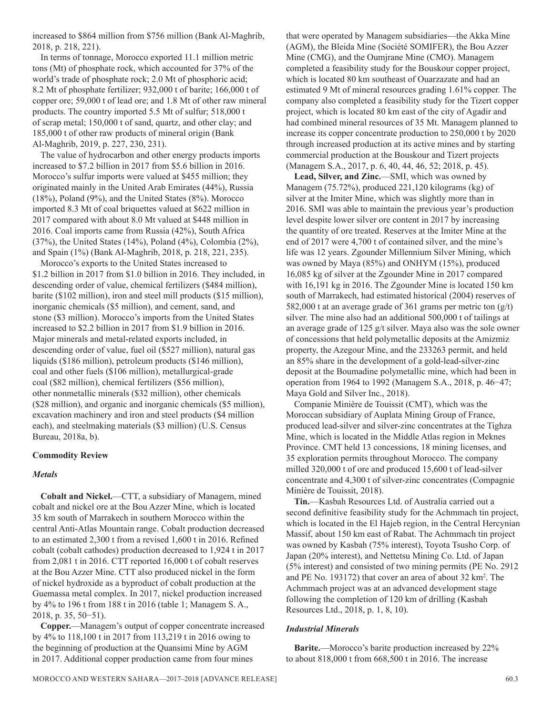increased to \$864 million from \$756 million (Bank Al-Maghrib, 2018, p. 218, 221).

In terms of tonnage, Morocco exported 11.1 million metric tons (Mt) of phosphate rock, which accounted for 37% of the world's trade of phosphate rock; 2.0 Mt of phosphoric acid; 8.2 Mt of phosphate fertilizer; 932,000 t of barite; 166,000 t of copper ore; 59,000 t of lead ore; and 1.8 Mt of other raw mineral products. The country imported 5.5 Mt of sulfur; 518,000 t of scrap metal; 150,000 t of sand, quartz, and other clay; and 185,000 t of other raw products of mineral origin (Bank Al-Maghrib, 2019, p. 227, 230, 231).

The value of hydrocarbon and other energy products imports increased to \$7.2 billion in 2017 from \$5.6 billion in 2016. Morocco's sulfur imports were valued at \$455 million; they originated mainly in the United Arab Emirates (44%), Russia (18%), Poland (9%), and the United States (8%). Morocco imported 8.3 Mt of coal briquettes valued at \$622 million in 2017 compared with about 8.0 Mt valued at \$448 million in 2016. Coal imports came from Russia (42%), South Africa (37%), the United States (14%), Poland (4%), Colombia (2%), and Spain (1%) (Bank Al-Maghrib, 2018, p. 218, 221, 235).

Morocco's exports to the United States increased to \$1.2 billion in 2017 from \$1.0 billion in 2016. They included, in descending order of value, chemical fertilizers (\$484 million), barite (\$102 million), iron and steel mill products (\$15 million), inorganic chemicals (\$5 million), and cement, sand, and stone (\$3 million). Morocco's imports from the United States increased to \$2.2 billion in 2017 from \$1.9 billion in 2016. Major minerals and metal-related exports included, in descending order of value, fuel oil (\$527 million), natural gas liquids (\$186 million), petroleum products (\$146 million), coal and other fuels (\$106 million), metallurgical-grade coal (\$82 million), chemical fertilizers (\$56 million), other nonmetallic minerals (\$32 million), other chemicals (\$28 million), and organic and inorganic chemicals (\$5 million), excavation machinery and iron and steel products (\$4 million each), and steelmaking materials (\$3 million) (U.S. Census Bureau, 2018a, b).

#### **Commodity Review**

#### *Metals*

**Cobalt and Nickel.**—CTT, a subsidiary of Managem, mined cobalt and nickel ore at the Bou Azzer Mine, which is located 35 km south of Marrakech in southern Morocco within the central Anti-Atlas Mountain range. Cobalt production decreased to an estimated 2,300 t from a revised 1,600 t in 2016. Refined cobalt (cobalt cathodes) production decreased to 1,924 t in 2017 from 2,081 t in 2016. CTT reported 16,000 t of cobalt reserves at the Bou Azzer Mine. CTT also produced nickel in the form of nickel hydroxide as a byproduct of cobalt production at the Guemassa metal complex. In 2017, nickel production increased by 4% to 196 t from 188 t in 2016 (table 1; Managem S. A., 2018, p. 35, 50−51).

**Copper.**—Managem's output of copper concentrate increased by 4% to 118,100 t in 2017 from 113,219 t in 2016 owing to the beginning of production at the Quansimi Mine by AGM in 2017. Additional copper production came from four mines

that were operated by Managem subsidiaries—the Akka Mine (AGM), the Bleida Mine (Société SOMIFER), the Bou Azzer Mine (CMG), and the Oumjrane Mine (CMO). Managem completed a feasibility study for the Bouskour copper project, which is located 80 km southeast of Ouarzazate and had an estimated 9 Mt of mineral resources grading 1.61% copper. The company also completed a feasibility study for the Tizert copper project, which is located 80 km east of the city of Agadir and had combined mineral resources of 35 Mt. Managem planned to increase its copper concentrate production to 250,000 t by 2020 through increased production at its active mines and by starting commercial production at the Bouskour and Tizert projects (Managem S.A., 2017, p. 6, 40, 44, 46, 52; 2018, p. 45).

**Lead, Silver, and Zinc.**—SMI, which was owned by Managem (75.72%), produced 221,120 kilograms (kg) of silver at the Imiter Mine, which was slightly more than in 2016. SMI was able to maintain the previous year's production level despite lower silver ore content in 2017 by increasing the quantity of ore treated. Reserves at the Imiter Mine at the end of 2017 were 4,700 t of contained silver, and the mine's life was 12 years. Zgounder Millennium Silver Mining, which was owned by Maya (85%) and ONHYM (15%), produced 16,085 kg of silver at the Zgounder Mine in 2017 compared with 16,191 kg in 2016. The Zgounder Mine is located 150 km south of Marrakech, had estimated historical (2004) reserves of 582,000 t at an average grade of 361 grams per metric ton  $(g/t)$ silver. The mine also had an additional 500,000 t of tailings at an average grade of 125 g/t silver. Maya also was the sole owner of concessions that held polymetallic deposits at the Amizmiz property, the Azegour Mine, and the 233263 permit, and held an 85% share in the development of a gold-lead-silver-zinc deposit at the Boumadine polymetallic mine, which had been in operation from 1964 to 1992 (Managem S.A., 2018, p. 46−47; Maya Gold and Silver Inc., 2018).

Companie Minière de Touissit (CMT), which was the Moroccan subsidiary of Auplata Mining Group of France, produced lead-silver and silver-zinc concentrates at the Tighza Mine, which is located in the Middle Atlas region in Meknes Province. CMT held 13 concessions, 18 mining licenses, and 35 exploration permits throughout Morocco. The company milled 320,000 t of ore and produced 15,600 t of lead-silver concentrate and 4,300 t of silver-zinc concentrates (Compagnie Minière de Touissit, 2018).

**Tin.**—Kasbah Resources Ltd. of Australia carried out a second definitive feasibility study for the Achmmach tin project, which is located in the El Hajeb region, in the Central Hercynian Massif, about 150 km east of Rabat. The Achmmach tin project was owned by Kasbah (75% interest), Toyota Tsusho Corp. of Japan (20% interest), and Nettetsu Mining Co. Ltd. of Japan (5% interest) and consisted of two mining permits (PE No. 2912 and PE No. 193172) that cover an area of about 32 km<sup>2</sup> . The Achmmach project was at an advanced development stage following the completion of 120 km of drilling (Kasbah Resources Ltd., 2018, p. 1, 8, 10).

#### *Industrial Minerals*

**Barite.**—Morocco's barite production increased by 22% to about 818,000 t from 668,500 t in 2016. The increase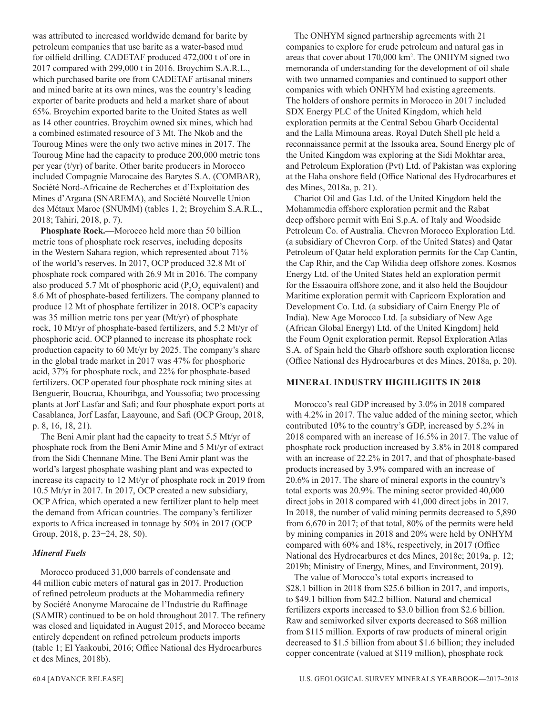was attributed to increased worldwide demand for barite by petroleum companies that use barite as a water-based mud for oilfield drilling. CADETAF produced 472,000 t of ore in 2017 compared with 299,000 t in 2016. Broychim S.A.R.L., which purchased barite ore from CADETAF artisanal miners and mined barite at its own mines, was the country's leading exporter of barite products and held a market share of about 65%. Broychim exported barite to the United States as well as 14 other countries. Broychim owned six mines, which had a combined estimated resource of 3 Mt. The Nkob and the Touroug Mines were the only two active mines in 2017. The Touroug Mine had the capacity to produce 200,000 metric tons per year (t/yr) of barite. Other barite producers in Morocco included Compagnie Marocaine des Barytes S.A. (COMBAR), Société Nord-Africaine de Recherches et d'Exploitation des Mines d'Argana (SNAREMA), and Société Nouvelle Union des Métaux Maroc (SNUMM) (tables 1, 2; Broychim S.A.R.L., 2018; Tahiri, 2018, p. 7).

**Phosphate Rock.**—Morocco held more than 50 billion metric tons of phosphate rock reserves, including deposits in the Western Sahara region, which represented about 71% of the world's reserves. In 2017, OCP produced 32.8 Mt of phosphate rock compared with 26.9 Mt in 2016. The company also produced 5.7 Mt of phosphoric acid  $(P_2O_5)$  equivalent) and 8.6 Mt of phosphate-based fertilizers. The company planned to produce 12 Mt of phosphate fertilizer in 2018. OCP's capacity was 35 million metric tons per year (Mt/yr) of phosphate rock, 10 Mt/yr of phosphate-based fertilizers, and 5.2 Mt/yr of phosphoric acid. OCP planned to increase its phosphate rock production capacity to 60 Mt/yr by 2025. The company's share in the global trade market in 2017 was 47% for phosphoric acid, 37% for phosphate rock, and 22% for phosphate-based fertilizers. OCP operated four phosphate rock mining sites at Benguerir, Boucraa, Khouribga, and Youssofia; two processing plants at Jorf Lasfar and Safi; and four phosphate export ports at Casablanca, Jorf Lasfar, Laayoune, and Safi (OCP Group, 2018, p. 8, 16, 18, 21).

The Beni Amir plant had the capacity to treat 5.5 Mt/yr of phosphate rock from the Beni Amir Mine and 5 Mt/yr of extract from the Sidi Chennane Mine. The Beni Amir plant was the world's largest phosphate washing plant and was expected to increase its capacity to 12 Mt/yr of phosphate rock in 2019 from 10.5 Mt/yr in 2017. In 2017, OCP created a new subsidiary, OCP Africa, which operated a new fertilizer plant to help meet the demand from African countries. The company's fertilizer exports to Africa increased in tonnage by 50% in 2017 (OCP Group, 2018, p. 23−24, 28, 50).

# *Mineral Fuels*

Morocco produced 31,000 barrels of condensate and 44 million cubic meters of natural gas in 2017. Production of refined petroleum products at the Mohammedia refinery by Société Anonyme Marocaine de l'Industrie du Raffinage (SAMIR) continued to be on hold throughout 2017. The refinery was closed and liquidated in August 2015, and Morocco became entirely dependent on refined petroleum products imports (table 1; El Yaakoubi, 2016; Office National des Hydrocarbures et des Mines, 2018b).

The ONHYM signed partnership agreements with 21 companies to explore for crude petroleum and natural gas in areas that cover about 170,000 km2 . The ONHYM signed two memoranda of understanding for the development of oil shale with two unnamed companies and continued to support other companies with which ONHYM had existing agreements. The holders of onshore permits in Morocco in 2017 included SDX Energy PLC of the United Kingdom, which held exploration permits at the Central Sebou Gharb Occidental and the Lalla Mimouna areas. Royal Dutch Shell plc held a reconnaissance permit at the Issouka area, Sound Energy plc of the United Kingdom was exploring at the Sidi Mokhtar area, and Petroleum Exploration (Pvt) Ltd. of Pakistan was exploring at the Haha onshore field (Office National des Hydrocarbures et des Mines, 2018a, p. 21).

Chariot Oil and Gas Ltd. of the United Kingdom held the Mohammedia offshore exploration permit and the Rabat deep offshore permit with Eni S.p.A. of Italy and Woodside Petroleum Co. of Australia. Chevron Morocco Exploration Ltd. (a subsidiary of Chevron Corp. of the United States) and Qatar Petroleum of Qatar held exploration permits for the Cap Cantin, the Cap Rhir, and the Cap Wilidia deep offshore zones. Kosmos Energy Ltd. of the United States held an exploration permit for the Essaouira offshore zone, and it also held the Boujdour Maritime exploration permit with Capricorn Exploration and Development Co. Ltd. (a subsidiary of Cairn Energy Plc of India). New Age Morocco Ltd. [a subsidiary of New Age (African Global Energy) Ltd. of the United Kingdom] held the Foum Ognit exploration permit. Repsol Exploration Atlas S.A. of Spain held the Gharb offshore south exploration license (Office National des Hydrocarbures et des Mines, 2018a, p. 20).

#### **MINERAL INDUSTRY HIGHLIGHTS IN 2018**

Morocco's real GDP increased by 3.0% in 2018 compared with 4.2% in 2017. The value added of the mining sector, which contributed 10% to the country's GDP, increased by 5.2% in 2018 compared with an increase of 16.5% in 2017. The value of phosphate rock production increased by 3.8% in 2018 compared with an increase of 22.2% in 2017, and that of phosphate-based products increased by 3.9% compared with an increase of 20.6% in 2017. The share of mineral exports in the country's total exports was 20.9%. The mining sector provided 40,000 direct jobs in 2018 compared with 41,000 direct jobs in 2017. In 2018, the number of valid mining permits decreased to 5,890 from 6,670 in 2017; of that total, 80% of the permits were held by mining companies in 2018 and 20% were held by ONHYM compared with 60% and 18%, respectively, in 2017 (Office National des Hydrocarbures et des Mines, 2018c; 2019a, p. 12; 2019b; Ministry of Energy, Mines, and Environment, 2019).

The value of Morocco's total exports increased to \$28.1 billion in 2018 from \$25.6 billion in 2017, and imports, to \$49.1 billion from \$42.2 billion. Natural and chemical fertilizers exports increased to \$3.0 billion from \$2.6 billion. Raw and semiworked silver exports decreased to \$68 million from \$115 million. Exports of raw products of mineral origin decreased to \$1.5 billion from about \$1.6 billion; they included copper concentrate (valued at \$119 million), phosphate rock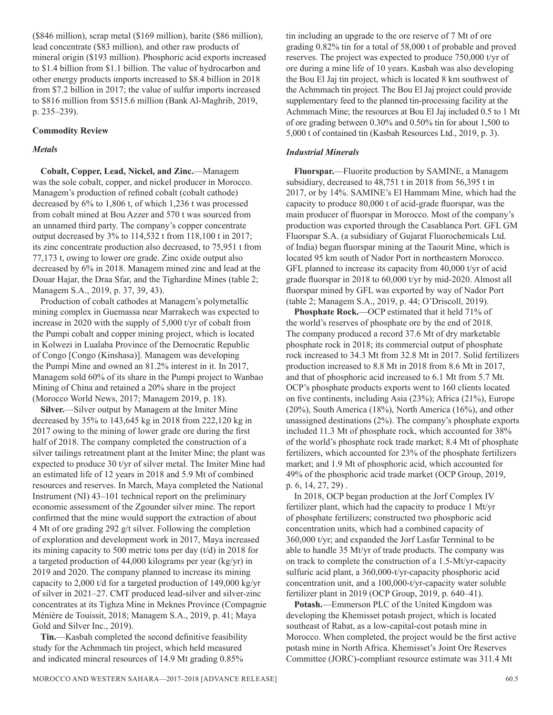(\$846 million), scrap metal (\$169 million), barite (\$86 million), lead concentrate (\$83 million), and other raw products of mineral origin (\$193 million). Phosphoric acid exports increased to \$1.4 billion from \$1.1 billion. The value of hydrocarbon and other energy products imports increased to \$8.4 billion in 2018 from \$7.2 billion in 2017; the value of sulfur imports increased to \$816 million from \$515.6 million (Bank Al-Maghrib, 2019, p. 235–239).

# **Commodity Review**

# *Metals*

**Cobalt, Copper, Lead, Nickel, and Zinc.**—Managem was the sole cobalt, copper, and nickel producer in Morocco. Managem's production of refined cobalt (cobalt cathode) decreased by 6% to 1,806 t, of which 1,236 t was processed from cobalt mined at Bou Azzer and 570 t was sourced from an unnamed third party. The company's copper concentrate output decreased by 3% to 114,532 t from 118,100 t in 2017; its zinc concentrate production also decreased, to 75,951 t from 77,173 t, owing to lower ore grade. Zinc oxide output also decreased by 6% in 2018. Managem mined zinc and lead at the Douar Hajar, the Draa Sfar, and the Tighardine Mines (table 2; Managem S.A., 2019, p. 37, 39, 43).

Production of cobalt cathodes at Managem's polymetallic mining complex in Guemassa near Marrakech was expected to increase in 2020 with the supply of 5,000 t/yr of cobalt from the Pumpi cobalt and copper mining project, which is located in Kolwezi in Lualaba Province of the Democratic Republic of Congo [Congo (Kinshasa)]. Managem was developing the Pumpi Mine and owned an 81.2% interest in it. In 2017, Managem sold 60% of its share in the Pumpi project to Wanbao Mining of China and retained a 20% share in the project (Morocco World News, 2017; Managem 2019, p. 18).

**Silver.**—Silver output by Managem at the Imiter Mine decreased by 35% to 143,645 kg in 2018 from 222,120 kg in 2017 owing to the mining of lower grade ore during the first half of 2018. The company completed the construction of a silver tailings retreatment plant at the Imiter Mine; the plant was expected to produce 30 t/yr of silver metal. The Imiter Mine had an estimated life of 12 years in 2018 and 5.9 Mt of combined resources and reserves. In March, Maya completed the National Instrument (NI) 43–101 technical report on the preliminary economic assessment of the Zgounder silver mine. The report confirmed that the mine would support the extraction of about 4 Mt of ore grading 292 g/t silver. Following the completion of exploration and development work in 2017, Maya increased its mining capacity to 500 metric tons per day (t/d) in 2018 for a targeted production of 44,000 kilograms per year (kg/yr) in 2019 and 2020. The company planned to increase its mining capacity to 2,000 t/d for a targeted production of 149,000 kg/yr of silver in 2021–27. CMT produced lead-silver and silver-zinc concentrates at its Tighza Mine in Meknes Province (Compagnie Ménière de Touissit, 2018; Managem S.A., 2019, p. 41; Maya Gold and Silver Inc., 2019).

**Tin.**—Kasbah completed the second definitive feasibility study for the Achmmach tin project, which held measured and indicated mineral resources of 14.9 Mt grading 0.85%

tin including an upgrade to the ore reserve of 7 Mt of ore grading 0.82% tin for a total of 58,000 t of probable and proved reserves. The project was expected to produce 750,000 t/yr of ore during a mine life of 10 years. Kasbah was also developing the Bou El Jaj tin project, which is located 8 km southwest of the Achmmach tin project. The Bou El Jaj project could provide supplementary feed to the planned tin-processing facility at the Achmmach Mine; the resources at Bou El Jaj included 0.5 to 1 Mt of ore grading between 0.30% and 0.50% tin for about 1,500 to 5,000 t of contained tin (Kasbah Resources Ltd., 2019, p. 3).

# *Industrial Minerals*

**Fluorspar.**—Fluorite production by SAMINE, a Managem subsidiary, decreased to 48,751 t in 2018 from 56,395 t in 2017, or by 14%. SAMINE's El Hammam Mine, which had the capacity to produce 80,000 t of acid-grade fluorspar, was the main producer of fluorspar in Morocco. Most of the company's production was exported through the Casablanca Port. GFL GM Fluorspar S.A. (a subsidiary of Gujarat Fluorochemicals Ltd. of India) began fluorspar mining at the Taourit Mine, which is located 95 km south of Nador Port in northeastern Morocco. GFL planned to increase its capacity from 40,000 t/yr of acid grade fluorspar in 2018 to 60,000 t/yr by mid-2020. Almost all fluorspar mined by GFL was exported by way of Nador Port (table 2; Managem S.A., 2019, p. 44; O'Driscoll, 2019).

**Phosphate Rock.**—OCP estimated that it held 71% of the world's reserves of phosphate ore by the end of 2018. The company produced a record 37.6 Mt of dry marketable phosphate rock in 2018; its commercial output of phosphate rock increased to 34.3 Mt from 32.8 Mt in 2017. Solid fertilizers production increased to 8.8 Mt in 2018 from 8.6 Mt in 2017, and that of phosphoric acid increased to 6.1 Mt from 5.7 Mt. OCP's phosphate products exports went to 160 clients located on five continents, including Asia (23%); Africa (21%), Europe (20%), South America (18%), North America (16%), and other unassigned destinations (2%). The company's phosphate exports included 11.3 Mt of phosphate rock, which accounted for 38% of the world's phosphate rock trade market; 8.4 Mt of phosphate fertilizers, which accounted for 23% of the phosphate fertilizers market; and 1.9 Mt of phosphoric acid, which accounted for 49% of the phosphoric acid trade market (OCP Group, 2019, p. 6, 14, 27, 29) .

In 2018, OCP began production at the Jorf Complex IV fertilizer plant, which had the capacity to produce 1 Mt/yr of phosphate fertilizers; constructed two phosphoric acid concentration units, which had a combined capacity of 360,000 t/yr; and expanded the Jorf Lasfar Terminal to be able to handle 35 Mt/yr of trade products. The company was on track to complete the construction of a 1.5-Mt/yr-capacity sulfuric acid plant, a 360,000-t/yr-capacity phosphoric acid concentration unit, and a 100,000-t/yr-capacity water soluble fertilizer plant in 2019 (OCP Group, 2019, p. 640–41).

**Potash.**—Emmerson PLC of the United Kingdom was developing the Khemisset potash project, which is located southeast of Rabat, as a low-capital-cost potash mine in Morocco. When completed, the project would be the first active potash mine in North Africa. Khemisset's Joint Ore Reserves Committee (JORC)-compliant resource estimate was 311.4 Mt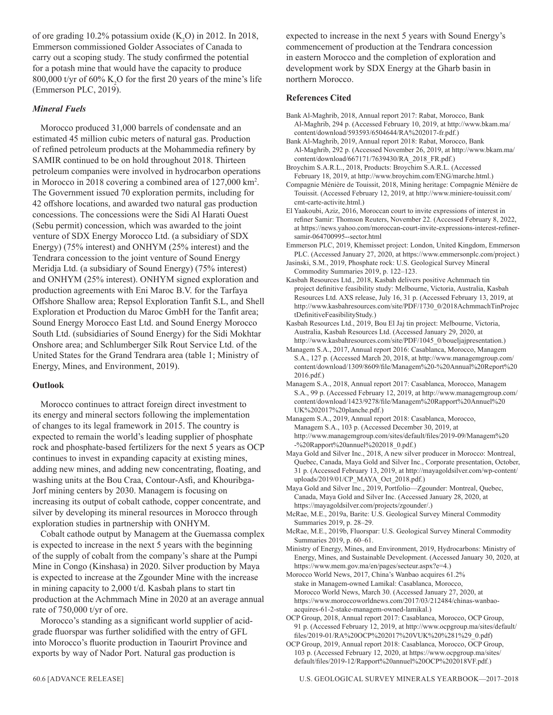of ore grading 10.2% potassium oxide  $(K_2O)$  in 2012. In 2018, Emmerson commissioned Golder Associates of Canada to carry out a scoping study. The study confirmed the potential for a potash mine that would have the capacity to produce 800,000 t/yr of  $60\%$  K<sub>2</sub>O for the first 20 years of the mine's life (Emmerson PLC, 2019).

# *Mineral Fuels*

Morocco produced 31,000 barrels of condensate and an estimated 45 million cubic meters of natural gas. Production of refined petroleum products at the Mohammedia refinery by SAMIR continued to be on hold throughout 2018. Thirteen petroleum companies were involved in hydrocarbon operations in Morocco in 2018 covering a combined area of 127,000 km2 . The Government issued 70 exploration permits, including for 42 offshore locations, and awarded two natural gas production concessions. The concessions were the Sidi Al Harati Ouest (Sebu permit) concession, which was awarded to the joint venture of SDX Energy Morocco Ltd. (a subsidiary of SDX Energy) (75% interest) and ONHYM (25% interest) and the Tendrara concession to the joint venture of Sound Energy Meridja Ltd. (a subsidiary of Sound Energy) (75% interest) and ONHYM (25% interest). ONHYM signed exploration and production agreements with Eni Maroc B.V. for the Tarfaya Offshore Shallow area; Repsol Exploration Tanfit S.L, and Shell Exploration et Production du Maroc GmbH for the Tanfit area; Sound Energy Morocco East Ltd. and Sound Energy Morocco South Ltd. (subsidiaries of Sound Energy) for the Sidi Mokhtar Onshore area; and Schlumberger Silk Rout Service Ltd. of the United States for the Grand Tendrara area (table 1; Ministry of Energy, Mines, and Environment, 2019).

# **Outlook**

Morocco continues to attract foreign direct investment to its energy and mineral sectors following the implementation of changes to its legal framework in 2015. The country is expected to remain the world's leading supplier of phosphate rock and phosphate-based fertilizers for the next 5 years as OCP continues to invest in expanding capacity at existing mines, adding new mines, and adding new concentrating, floating, and washing units at the Bou Craa, Contour-Asfi, and Khouribga-Jorf mining centers by 2030. Managem is focusing on increasing its output of cobalt cathode, copper concentrate, and silver by developing its mineral resources in Morocco through exploration studies in partnership with ONHYM.

Cobalt cathode output by Managem at the Guemassa complex is expected to increase in the next 5 years with the beginning of the supply of cobalt from the company's share at the Pumpi Mine in Congo (Kinshasa) in 2020. Silver production by Maya is expected to increase at the Zgounder Mine with the increase in mining capacity to 2,000 t/d. Kasbah plans to start tin production at the Achmmach Mine in 2020 at an average annual rate of 750,000 t/yr of ore.

Morocco's standing as a significant world supplier of acidgrade fluorspar was further solidified with the entry of GFL into Morocco's fluorite production in Taourirt Province and exports by way of Nador Port. Natural gas production is

expected to increase in the next 5 years with Sound Energy's commencement of production at the Tendrara concession in eastern Morocco and the completion of exploration and development work by SDX Energy at the Gharb basin in northern Morocco.

### **References Cited**

- Bank Al-Maghrib, 2018, Annual report 2017: Rabat, Morocco, Bank Al-Maghrib, 294 p. (Accessed February 10, 2019, at http://www.bkam.ma/ content/download/593593/6504644/RA%202017-fr.pdf.)
- Bank Al-Maghrib, 2019, Annual report 2018: Rabat, Morocco, Bank Al-Maghrib, 292 p. (Accessed November 26, 2019, at http://www.bkam.ma/ content/download/667171/7639430/RA\_2018\_FR.pdf.)
- Broychim S.A.R.L., 2018, Products: Broychim S.A.R.L. (Accessed February 18, 2019, at http://www.broychim.com/ENG/marche.html.)
- Compagnie Ménière de Touissit, 2018, Mining heritage: Compagnie Ménière de Touissit. (Accessed February 12, 2019, at http://www.miniere-touissit.com/ cmt-carte-activite.html.)
- El Yaakoubi, Aziz, 2016, Moroccan court to invite expressions of interest in refiner Samir: Thomson Reuters, November 22. (Accessed February 8, 2022, at https://news.yahoo.com/moroccan-court-invite-expressions-interest-refinersamir-064700995--sector.html
- Emmerson PLC, 2019, Khemisset project: London, United Kingdom, Emmerson PLC. (Accessed January 27, 2020, at https://www.emmersonplc.com/project.)
- Jasinski, S.M., 2019, Phosphate rock: U.S. Geological Survey Mineral Commodity Summaries 2019, p. 122–123.
- Kasbah Resources Ltd., 2018, Kasbah delivers positive Achmmach tin project definitive feasibility study: Melbourne, Victoria, Australia, Kasbah Resources Ltd. AXS release, July 16, 31 p. (Accessed February 13, 2019, at http://www.kasbahresources.com/site/PDF/1730\_0/2018AchmmachTinProjec tDefinitiveFeasibilityStudy.)
- Kasbah Resources Ltd., 2019, Bou El Jaj tin project: Melbourne, Victoria, Australia, Kasbah Resources Ltd. (Accessed January 29, 2020, at http://www.kasbahresources.com/site/PDF/1045\_0/boueljajpresentation.)
- Managem S.A., 2017, Annual report 2016: Casablanca, Morocco, Managem S.A., 127 p. (Accessed March 20, 2018, at http://www.managemgroup.com/ content/download/1309/8609/file/Managem%20-%20Annual%20Report%20 2016.pdf.)
- Managem S.A., 2018, Annual report 2017: Casablanca, Morocco, Managem S.A., 99 p. (Accessed February 12, 2019, at http://www.managemgroup.com/ content/download/1423/9278/file/Managem%20Rapport%20Annuel%20 UK%202017%20planche.pdf.)
- Managem S.A., 2019, Annual report 2018: Casablanca, Morocco, Managem S.A., 103 p. (Accessed December 30, 2019, at http://www.managemgroup.com/sites/default/files/2019-09/Managem%20 -%20Rapport%20annuel%202018\_0.pdf.)
- Maya Gold and Silver Inc., 2018, A new silver producer in Morocco: Montreal, Quebec, Canada, Maya Gold and Silver Inc., Corporate presentation, October, 31 p. (Accessed February 13, 2019, at http://mayagoldsilver.com/wp-content/ uploads/2019/01/CP\_MAYA\_Oct\_2018.pdf.)
- Maya Gold and Silver Inc., 2019, Portfolio—Zgounder: Montreal, Quebec, Canada, Maya Gold and Silver Inc. (Accessed January 28, 2020, at https://mayagoldsilver.com/projects/zgounder/.)
- McRae, M.E., 2019a, Barite: U.S. Geological Survey Mineral Commodity Summaries 2019, p. 28–29.
- McRae, M.E., 2019b, Fluorspar: U.S. Geological Survey Mineral Commodity Summaries 2019, p. 60–61.
- Ministry of Energy, Mines, and Environment, 2019, Hydrocarbons: Ministry of Energy, Mines, and Sustainable Development. (Accessed January 30, 2020, at https://www.mem.gov.ma/en/pages/secteur.aspx?e=4.)
- Morocco World News, 2017, China's Wanbao acquires 61.2% stake in Managem-owned Lamikal: Casablanca, Morocco, Morocco World News, March 30. (Accessed January 27, 2020, at https://www.moroccoworldnews.com/2017/03/212484/chinas-wanbaoacquires-61-2-stake-managem-owned-lamikal.)
- OCP Group, 2018, Annual report 2017: Casablanca, Morocco, OCP Group, 91 p. (Accessed February 12, 2019, at http://www.ocpgroup.ma/sites/default/ files/2019-01/RA%20OCP%202017%20VUK%20%281%29\_0.pdf)
- OCP Group, 2019, Annual report 2018: Casablanca, Morocco, OCP Group, 103 p. (Accessed February 12, 2020, at https://www.ocpgroup.ma/sites/ default/files/2019-12/Rapport%20annuel%20OCP%202018VF.pdf.)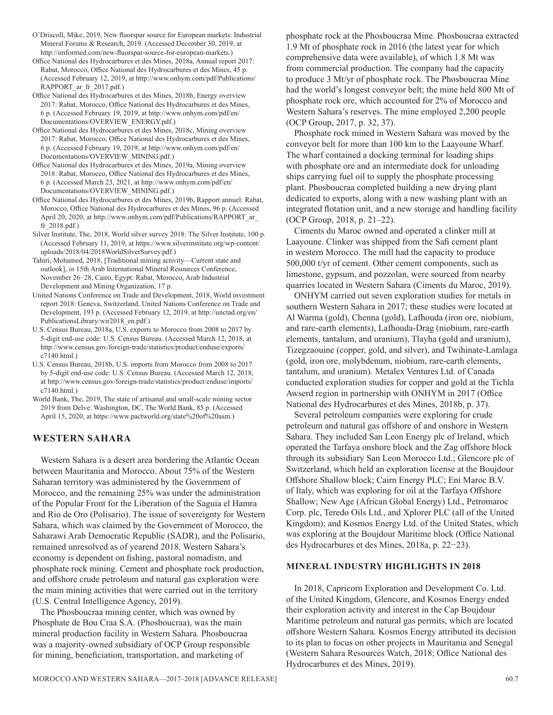O'Driscoll, Mike, 2019, New fluorspar source for European markets: Industrial Mineral Forums & Research, 2019. (Accessed December 30, 2019, at http://imformed.com/new-fluorspar-source-for-european-markets.)

Office National des Hydrocarbures et des Mines, 2018a, Annual report 2017: Rabat, Morocco, Office National des Hydrocarbures et des Mines, 45 p. (Accessed February 12, 2019, at http://www.onhym.com/pdf/Publications/ RAPPORT ar fr\_2017.pdf.)

Office National des Hydrocarbures et des Mines, 2018b, Energy overview 2017: Rabat, Morocco, Office National des Hydrocarbures et des Mines, 6 p. (Accessed February 19, 2019, at http://www.onhym.com/pdf/en/ Documentations/OVERVIEW\_ENERGY.pdf.)

Office National des Hydrocarbures et des Mines, 2018c, Mining overview 2017: Rabat, Morocco, Office National des Hydrocarbures et des Mines, 6 p. (Accessed February 19, 2019, at http://www.onhym.com/pdf/en/ Documentations/OVERVIEW\_MINING.pdf.)

Office National des Hydrocarbures et des Mines, 2019a, Mining overview 2018: Rabat, Morocco, Office National des Hydrocarbures et des Mines, 6 p. (Accessed March 23, 2021, at http://www.onhym.com/pdf/en/ Documentations/OVERVIEW\_MINING.pdf.)

Office National des Hydrocarbures et des Mines, 2019b, Rapport annuel: Rabat, Morocco, Office National des Hydrocarbures et des Mines, 96 p. (Accessed April 20, 2020, at http://www.onhym.com/pdf/Publications/RAPPORT\_ar\_ fr\_2018.pdf.)

Silver Institute, The, 2018, World silver survey 2018: The Silver Institute, 100 p. (Accessed February 11, 2019, at https://www.silverinstitute.org/wp-content/ uploads/2018/04/2018WorldSilverSurvey.pdf.)

Tahiri, Mohamed, 2018, [Traditional mining activity—Current state and outlook], *in* 15th Arab International Mineral Resources Conference, November 26−28, Cairo, Egypt: Rabat, Morocco, Arab Industrial Development and Mining Organization, 17 p.

United Nations Conference on Trade and Development, 2018, World investment report 2018: Geneva, Switzerland, United Nations Conference on Trade and Development, 193 p. (Accessed February 12, 2019, at http://unctad.org/en/ PublicationsLibrary/wir2018\_en.pdf.)

U.S. Census Bureau, 2018a, U.S. exports to Morocco from 2008 to 2017 by 5-digit end-use code: U.S. Census Bureau. (Accessed March 12, 2018, at http://www.census.gov/foreign-trade/statistics/product/enduse/exports/ c7140.html.)

U.S. Census Bureau, 2018b, U.S. imports from Morocco from 2008 to 2017 by 5-digit end-use code: U.S. Census Bureau. (Accessed March 12, 2018, at http://www.census.gov/foreign-trade/statistics/product/enduse/imports/ c7140.html.)

World Bank, The, 2019, The state of artisanal and small-scale mining sector 2019 from Delve: Washington, DC, The World Bank, 85 p. (Accessed April 15, 2020, at https://www.pactworld.org/state%20of%20asm.)

# **WESTERN SAHARA**

Western Sahara is a desert area bordering the Atlantic Ocean between Mauritania and Morocco. About 75% of the Western Saharan territory was administered by the Government of Morocco, and the remaining 25% was under the administration of the Popular Front for the Liberation of the Saguia el Hamra and Rio de Oro (Polisario). The issue of sovereignty for Western Sahara, which was claimed by the Government of Morocco, the Saharawi Arab Democratic Republic (SADR), and the Polisario, remained unresolved as of yearend 2018. Western Sahara's economy is dependent on fishing, pastoral nomadism, and phosphate rock mining. Cement and phosphate rock production, and offshore crude petroleum and natural gas exploration were the main mining activities that were carried out in the territory (U.S. Central Intelligence Agency, 2019).

The Phosboucraa mining center, which was owned by Phosphate de Bou Craa S.A. (Phosboucraa), was the main mineral production facility in Western Sahara. Phosboucraa was a majority-owned subsidiary of OCP Group responsible for mining, beneficiation, transportation, and marketing of

phosphate rock at the Phosboucraa Mine. Phosboucraa extracted 1.9 Mt of phosphate rock in 2016 (the latest year for which comprehensive data were available), of which 1.8 Mt was from commercial production. The company had the capacity to produce 3 Mt/yr of phosphate rock. The Phosboucraa Mine had the world's longest conveyor belt; the mine held 800 Mt of phosphate rock ore, which accounted for 2% of Morocco and Western Sahara's reserves. The mine employed 2,200 people (OCP Group, 2017, p. 32, 37).

Phosphate rock mined in Western Sahara was moved by the conveyor belt for more than 100 km to the Laayoune Wharf. The wharf contained a docking terminal for loading ships with phosphate ore and an intermediate dock for unloading ships carrying fuel oil to supply the phosphate processing plant. Phosboucraa completed building a new drying plant dedicated to exports, along with a new washing plant with an integrated flotation unit, and a new storage and handling facility (OCP Group, 2018, p. 21–22).

Ciments du Maroc owned and operated a clinker mill at Laayoune. Clinker was shipped from the Safi cement plant in western Morocco. The mill had the capacity to produce 500,000 t/yr of cement. Other cement components, such as limestone, gypsum, and pozzolan, were sourced from nearby quarries located in Western Sahara (Ciments du Maroc, 2019).

ONHYM carried out seven exploration studies for metals in southern Western Sahara in 2017; these studies were located at Al Warma (gold), Chenna (gold), Lafhouda (iron ore, niobium, and rare-earth elements), Lafhouda-Drag (niobium, rare-earth elements, tantalum, and uranium), Tlayha (gold and uranium), Tizegzaouine (copper, gold, and silver), and Twihinate-Lamlaga (gold, iron ore, molybdenum, niobium, rare-earth elements, tantalum, and uranium). Metalex Ventures Ltd. of Canada conducted exploration studies for copper and gold at the Tichla Awserd region in partnership with ONHYM in 2017 (Office National des Hydrocarbures et des Mines, 2018b, p. 37).

Several petroleum companies were exploring for crude petroleum and natural gas offshore of and onshore in Western Sahara. They included San Leon Energy plc of Ireland, which operated the Tarfaya onshore block and the Zag offshore block through its subsidiary San Leon Morocco Ltd.; Glencore plc of Switzerland, which held an exploration license at the Boujdour Offshore Shallow block; Cairn Energy PLC; Eni Maroc B.V. of Italy, which was exploring for oil at the Tarfaya Offshore Shallow; New Age (African Global Energy) Ltd., Petromaroc Corp. plc, Teredo Oils Ltd., and Xplorer PLC (all of the United Kingdom); and Kosmos Energy Ltd. of the United States, which was exploring at the Boujdour Maritime block (Office National des Hydrocarbures et des Mines, 2018a, p. 22−23).

# **MINERAL INDUSTRY HIGHLIGHTS IN 2018**

In 2018, Capricorn Exploration and Development Co. Ltd. of the United Kingdom, Glencore, and Kosmos Energy ended their exploration activity and interest in the Cap Boujdour Maritime petroleum and natural gas permits, which are located offshore Western Sahara. Kosmos Energy attributed its decision to its plan to focus on other projects in Mauritania and Senegal (Western Sahara Resources Watch, 2018; Office National des Hydrocarbures et des Mines, 2019).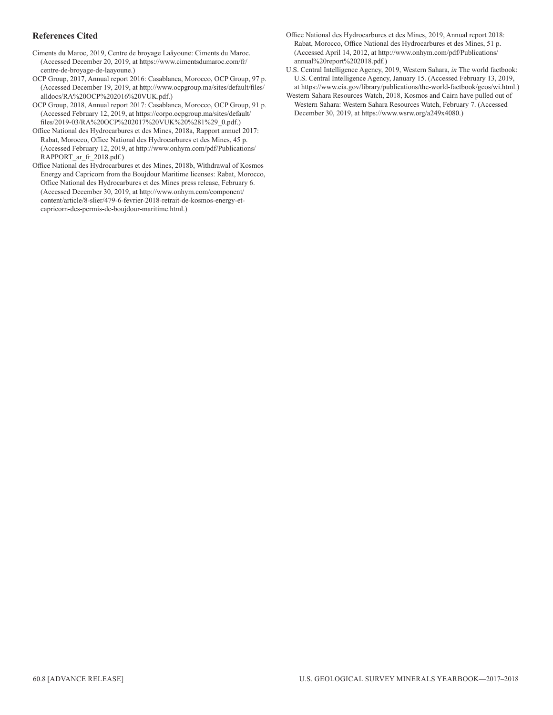# **References Cited**

Ciments du Maroc, 2019, Centre de broyage Laâyoune: Ciments du Maroc. (Accessed December 20, 2019, at https://www.cimentsdumaroc.com/fr/ centre-de-broyage-de-laayoune.)

- OCP Group, 2017, Annual report 2016: Casablanca, Morocco, OCP Group, 97 p. (Accessed December 19, 2019, at http://www.ocpgroup.ma/sites/default/files/ alldocs/RA%20OCP%202016%20VUK.pdf.)
- OCP Group, 2018, Annual report 2017: Casablanca, Morocco, OCP Group, 91 p. (Accessed February 12, 2019, at https://corpo.ocpgroup.ma/sites/default/ files/2019-03/RA%20OCP%202017%20VUK%20%281%29\_0.pdf.)
- Office National des Hydrocarbures et des Mines, 2018a, Rapport annuel 2017: Rabat, Morocco, Office National des Hydrocarbures et des Mines, 45 p. (Accessed February 12, 2019, at http://www.onhym.com/pdf/Publications/ RAPPORT ar fr 2018.pdf.)
- Office National des Hydrocarbures et des Mines, 2018b, Withdrawal of Kosmos Energy and Capricorn from the Boujdour Maritime licenses: Rabat, Morocco, Office National des Hydrocarbures et des Mines press release, February 6. (Accessed December 30, 2019, at http://www.onhym.com/component/ content/article/8-slier/479-6-fevrier-2018-retrait-de-kosmos-energy-etcapricorn-des-permis-de-boujdour-maritime.html.)
- Office National des Hydrocarbures et des Mines, 2019, Annual report 2018: Rabat, Morocco, Office National des Hydrocarbures et des Mines, 51 p. (Accessed April 14, 2012, at http://www.onhym.com/pdf/Publications/ annual%20report%202018.pdf.)
- U.S. Central Intelligence Agency, 2019, Western Sahara, *in* The world factbook: U.S. Central Intelligence Agency, January 15. (Accessed February 13, 2019, at https://www.cia.gov/library/publications/the-world-factbook/geos/wi.html.)
- Western Sahara Resources Watch, 2018, Kosmos and Cairn have pulled out of Western Sahara: Western Sahara Resources Watch, February 7. (Accessed December 30, 2019, at https://www.wsrw.org/a249x4080.)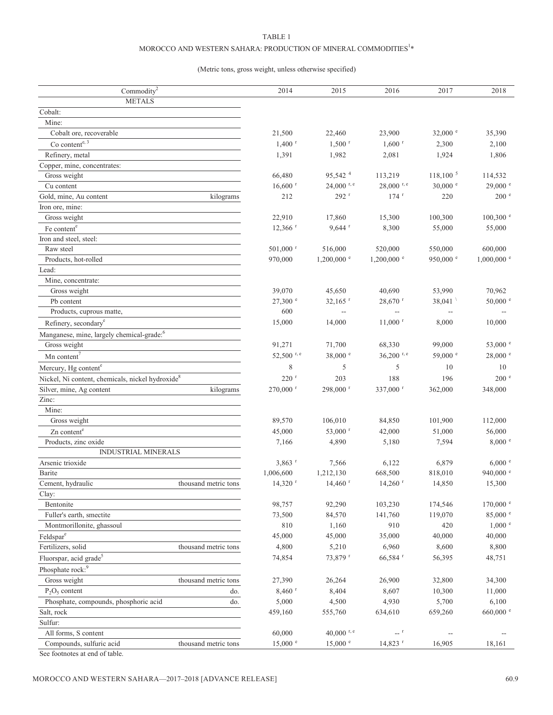#### TABLE 1

#### MOROCCO AND WESTERN SAHARA: PRODUCTION OF MINERAL COMMODITIES $^{1\ast}$

# (Metric tons, gross weight, unless otherwise specified)

| Commodity <sup>2</sup>                            |                      | 2014                  | 2015                     | 2016                                                                              | 2017                     | 2018                     |
|---------------------------------------------------|----------------------|-----------------------|--------------------------|-----------------------------------------------------------------------------------|--------------------------|--------------------------|
| <b>METALS</b>                                     |                      |                       |                          |                                                                                   |                          |                          |
| Cobalt:                                           |                      |                       |                          |                                                                                   |                          |                          |
| Mine:                                             |                      |                       |                          |                                                                                   |                          |                          |
| Cobalt ore, recoverable                           |                      | 21,500                | 22,460                   | 23,900                                                                            | $32,000$ $\degree$       | 35,390                   |
| Co content <sup>e, <math>\frac{3}{3}</math></sup> |                      | $1,400$ <sup>r</sup>  | $1,500$ <sup>r</sup>     | $1,600$ <sup>r</sup>                                                              | 2,300                    | 2,100                    |
| Refinery, metal                                   |                      | 1,391                 | 1,982                    | 2,081                                                                             | 1,924                    | 1,806                    |
| Copper, mine, concentrates:                       |                      |                       |                          |                                                                                   |                          |                          |
| Gross weight                                      |                      | 66,480                | 95,542 4                 | 113,219                                                                           | 118,100 <sup>5</sup>     | 114,532                  |
| Cu content                                        |                      | $16,600$ <sup>r</sup> | $24,000$ r, e            | $28,000$ r, e                                                                     | $30,000$ e               | $29,000$ e               |
| Gold, mine, Au content                            | kilograms            | 212                   | 292 r                    | $174$ <sup>r</sup>                                                                | 220                      | 200 e                    |
| Iron ore, mine:                                   |                      |                       |                          |                                                                                   |                          |                          |
| Gross weight                                      |                      | 22,910                | 17,860                   | 15,300                                                                            | 100,300                  | $100,300$ e              |
| Fe content <sup>e</sup>                           |                      | $12,366$ <sup>r</sup> | $9,644$ <sup>r</sup>     | 8,300                                                                             | 55,000                   | 55,000                   |
| Iron and steel, steel:                            |                      |                       |                          |                                                                                   |                          |                          |
| Raw steel                                         |                      | 501,000 r             | 516,000                  | 520,000                                                                           | 550,000                  | 600,000                  |
| Products, hot-rolled                              |                      | 970,000               | $1,200,000$ <sup>e</sup> | $1,200,000$ <sup>e</sup>                                                          | 950,000 °                | $1,000,000$ <sup>e</sup> |
| Lead:                                             |                      |                       |                          |                                                                                   |                          |                          |
|                                                   |                      |                       |                          |                                                                                   |                          |                          |
| Mine, concentrate:                                |                      | 39,070                | 45,650                   | 40,690                                                                            | 53,990                   | 70,962                   |
| Gross weight<br>Pb content                        |                      | $27,300$ e            | $32,165$ <sup>r</sup>    | 28,670 r                                                                          | 38,041                   | $50,000$ e               |
|                                                   |                      | 600                   |                          | ш.                                                                                |                          |                          |
| Products, cuprous matte,                          |                      |                       | $\overline{a}$           |                                                                                   | $\overline{\phantom{a}}$ |                          |
| Refinery, secondary <sup>e</sup>                  |                      | 15,000                | 14,000                   | $11,000$ <sup>r</sup>                                                             | 8,000                    | 10,000                   |
| Manganese, mine, largely chemical-grade:6         |                      |                       |                          |                                                                                   |                          |                          |
| Gross weight                                      |                      | 91,271                | 71,700                   | 68,330                                                                            | 99,000                   | 53,000 $^{\circ}$        |
| $Mn$ content <sup>7</sup>                         |                      | 52,500 r, $e$         | $38,000$ e               | 36,200 $r, e$                                                                     | 59,000 $^{\circ}$        | $28,000$ $\degree$       |
| Mercury, Hg content <sup>e</sup>                  |                      | $\,$ 8 $\,$           | 5                        | 5                                                                                 | 10                       | 10                       |
| Nickel, Ni content, chemicals, nickel hydroxide8  |                      | $220$ <sup>r</sup>    | 203                      | 188                                                                               | 196                      | 200 <sup>e</sup>         |
| Silver, mine, Ag content                          | kilograms            | 270,000 r             | 298,000 r                | 337,000 r                                                                         | 362,000                  | 348,000                  |
| Zinc:                                             |                      |                       |                          |                                                                                   |                          |                          |
| Mine:                                             |                      |                       |                          |                                                                                   |                          |                          |
| Gross weight                                      |                      | 89,570                | 106,010                  | 84,850                                                                            | 101,900                  | 112,000                  |
| Zn content <sup>e</sup>                           |                      | 45,000                | 53,000 r                 | 42,000                                                                            | 51,000                   | 56,000                   |
| Products, zinc oxide                              |                      | 7,166                 | 4,890                    | 5,180                                                                             | 7,594                    | 8,000 °                  |
| INDUSTRIAL MINERALS                               |                      |                       |                          |                                                                                   |                          |                          |
| Arsenic trioxide                                  |                      | $3,863$ <sup>r</sup>  | 7,566                    | 6,122                                                                             | 6,879                    | 6,000 °                  |
| Barite                                            |                      | 1,006,600             | 1,212,130                | 668,500                                                                           | 818,010                  | 940,000 °                |
| Cement, hydraulic                                 | thousand metric tons | $14,320$ <sup>r</sup> | $14,460$ <sup>r</sup>    | $14,260$ <sup>r</sup>                                                             | 14,850                   | 15,300                   |
| Clay:                                             |                      |                       |                          |                                                                                   |                          |                          |
| Bentonite                                         |                      | 98,757                | 92,290                   | 103,230                                                                           | 174,546                  | $170,000$ $\degree$      |
| Fuller's earth, smectite                          |                      | 73,500                | 84,570                   | 141,760                                                                           | 119,070                  | $85,000$ e               |
| Montmorillonite, ghassoul                         |                      | 810                   | 1,160                    | 910                                                                               | 420                      | $1,000$ $^{\circ}$       |
| Feldspar <sup>e</sup>                             |                      | 45,000                | 45,000                   | 35,000                                                                            | 40,000                   | 40,000                   |
| Fertilizers, solid                                | thousand metric tons | 4,800                 | 5,210                    | 6,960                                                                             | 8,600                    | 8,800                    |
| Fluorspar, acid grade <sup>5</sup>                |                      | 74,854                | 73,879 r                 | 66,584 <sup>r</sup>                                                               | 56,395                   | 48,751                   |
| Phosphate rock: <sup>9</sup>                      |                      |                       |                          |                                                                                   |                          |                          |
| Gross weight                                      | thousand metric tons | 27,390                | 26,264                   | 26,900                                                                            | 32,800                   | 34,300                   |
| $P_2O_5$ content                                  | do.                  | $8,460$ <sup>r</sup>  | 8,404                    | 8,607                                                                             | 10,300                   | 11,000                   |
| Phosphate, compounds, phosphoric acid             | do.                  | 5,000                 | 4,500                    | 4,930                                                                             | 5,700                    | 6,100                    |
| Salt, rock                                        |                      | 459,160               | 555,760                  | 634,610                                                                           | 659,260                  | $660,000$ e              |
| Sulfur:                                           |                      |                       |                          |                                                                                   |                          |                          |
| All forms, S content                              |                      | 60,000                | 40,000 r, e              | $\hspace{0.1cm} \ldots \hspace{0.1cm} \hspace{0.1cm}^{\hspace{0.1cm} \mathrm{r}}$ | $\sim$                   |                          |
| Compounds, sulfuric acid                          | thousand metric tons | $15,000$ $\degree$    | $15,000$ $\degree$       | $14,823$ <sup>r</sup>                                                             | 16,905                   | 18,161                   |
|                                                   |                      |                       |                          |                                                                                   |                          |                          |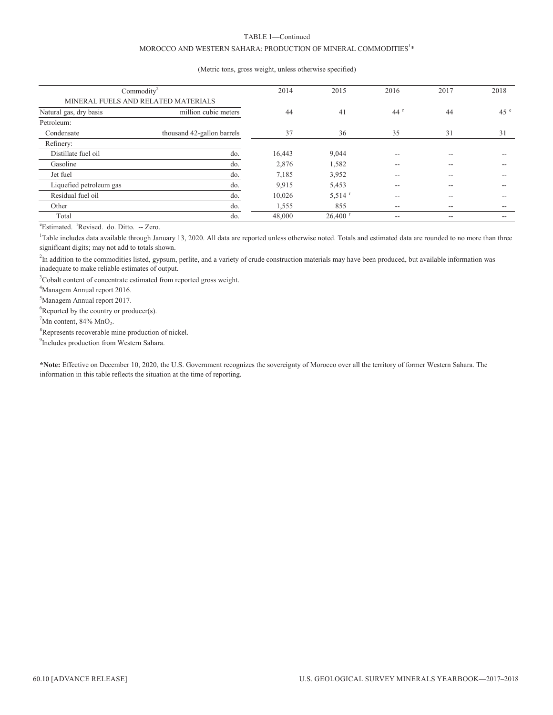#### TABLE 1—Continued

### MOROCCO AND WESTERN SAHARA: PRODUCTION OF MINERAL COMMODITIES $^{\mathrm{1}}\ast$

#### (Metric tons, gross weight, unless otherwise specified)

| Commodity <sup>2</sup><br>MINERAL FUELS AND RELATED MATERIALS |                            | 2014   | 2015                  | 2016   | 2017 | 2018            |
|---------------------------------------------------------------|----------------------------|--------|-----------------------|--------|------|-----------------|
|                                                               |                            |        |                       |        |      |                 |
| Natural gas, dry basis                                        | million cubic meters       | 44     | 41                    | $44^t$ | 44   | 45 <sup>e</sup> |
| Petroleum:                                                    |                            |        |                       |        |      |                 |
| Condensate                                                    | thousand 42-gallon barrels | 37     | 36                    | 35     | 31   | 31              |
| Refinery:                                                     |                            |        |                       |        |      |                 |
| Distillate fuel oil                                           | do.                        | 16,443 | 9,044                 | $-$    |      |                 |
| Gasoline                                                      | do.                        | 2,876  | 1,582                 | $- -$  | --   | --              |
| Jet fuel                                                      | do.                        | 7,185  | 3,952                 | $-$    |      |                 |
| Liquefied petroleum gas                                       | do.                        | 9,915  | 5,453                 | $- -$  | --   |                 |
| Residual fuel oil                                             | do.                        | 10.026 | $5,514$ <sup>r</sup>  | $- -$  | --   |                 |
| Other                                                         | do.                        | 1,555  | 855                   | $- -$  | --   | --              |
| Total                                                         | do.                        | 48,000 | $26,400$ <sup>r</sup> | $- -$  | --   | --              |

<sup>e</sup>Estimated. <sup>r</sup>Revised. do. Ditto. -- Zero.

<sup>1</sup>Table includes data available through January 13, 2020. All data are reported unless otherwise noted. Totals and estimated data are rounded to no more than three significant digits; may not add to totals shown.

<sup>2</sup>In addition to the commodities listed, gypsum, perlite, and a variety of crude construction materials may have been produced, but available information was inadequate to make reliable estimates of output.

<sup>3</sup>Cobalt content of concentrate estimated from reported gross weight.

4 Managem Annual report 2016.

5 Managem Annual report 2017.

 ${}^{6}$ Reported by the country or producer(s).

 $^7$ Mn content, 84% MnO<sub>2</sub>.

<sup>8</sup>Represents recoverable mine production of nickel.

<sup>9</sup>Includes production from Western Sahara.

**\*Note:** Effective on December 10, 2020, the U.S. Government recognizes the sovereignty of Morocco over all the territory of former Western Sahara. The information in this table reflects the situation at the time of reporting.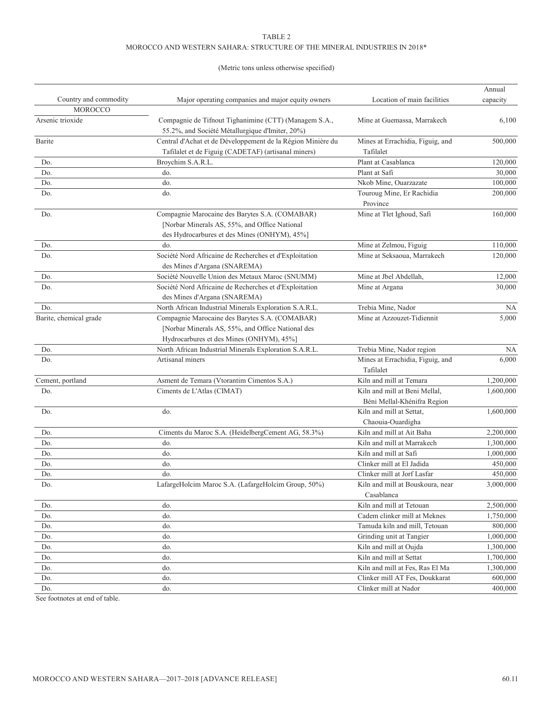#### TABLE 2

# MOROCCO AND WESTERN SAHARA: STRUCTURE OF THE MINERAL INDUSTRIES IN 2018\*

# (Metric tons unless otherwise specified)

|                        |                                                                                                                                                 |                                                              | Annual    |
|------------------------|-------------------------------------------------------------------------------------------------------------------------------------------------|--------------------------------------------------------------|-----------|
| Country and commodity  | Major operating companies and major equity owners                                                                                               | Location of main facilities                                  | capacity  |
| <b>MOROCCO</b>         |                                                                                                                                                 |                                                              |           |
| Arsenic trioxide       | Compagnie de Tifnout Tighanimine (CTT) (Managem S.A.,<br>55.2%, and Société Métallurgique d'Imiter, 20%)                                        | Mine at Guemassa, Marrakech                                  | 6,100     |
| Barite                 | Central d'Achat et de Développement de la Région Minière du<br>Tafilalet et de Figuig (CADETAF) (artisanal miners)                              | Mines at Errachidia, Figuig, and<br>Tafilalet                | 500,000   |
| Do.                    | Broychim S.A.R.L.                                                                                                                               | Plant at Casablanca                                          | 120,000   |
| Do.                    | do.                                                                                                                                             | Plant at Safi                                                | 30,000    |
| Do.                    | do.                                                                                                                                             | Nkob Mine, Ouarzazate                                        | 100,000   |
| Do.                    | do.                                                                                                                                             | Touroug Mine, Er Rachidia<br>Province                        | 200,000   |
| Do.                    | Compagnie Marocaine des Barytes S.A. (COMABAR)<br>[Norbar Minerals AS, 55%, and Office National<br>des Hydrocarbures et des Mines (ONHYM), 45%] | Mine at Tlet Ighoud, Safi                                    | 160,000   |
| Do.                    | do.                                                                                                                                             | Mine at Zelmou, Figuig                                       | 110,000   |
| Do.                    | Société Nord Africaine de Recherches et d'Exploitation<br>des Mines d'Argana (SNAREMA)                                                          | Mine at Seksaoua, Marrakech                                  | 120,000   |
| Do.                    | Société Nouvelle Union des Metaux Maroc (SNUMM)                                                                                                 | Mine at Jbel Abdellah,                                       | 12,000    |
| Do.                    | Société Nord Africaine de Recherches et d'Exploitation<br>des Mines d'Argana (SNAREMA)                                                          | Mine at Argana                                               | 30,000    |
| Do.                    | North African Industrial Minerals Exploration S.A.R.L.                                                                                          | Trebia Mine, Nador                                           | NА        |
| Barite, chemical grade | Compagnie Marocaine des Barytes S.A. (COMABAR)<br>[Norbar Minerals AS, 55%, and Office National des<br>Hydrocarbures et des Mines (ONHYM), 45%] | Mine at Azzouzet-Tidiennit                                   | 5,000     |
| Do.                    | North African Industrial Minerals Exploration S.A.R.L.                                                                                          | Trebia Mine, Nador region                                    | NA        |
| Do.                    | Artisanal miners                                                                                                                                | Mines at Errachidia, Figuig, and<br>Tafilalet                | 6,000     |
| Cement, portland       | Asment de Temara (Vtorantim Cimentos S.A.)                                                                                                      | Kiln and mill at Temara                                      | 1,200,000 |
| Do.                    | Ciments de L'Atlas (CIMAT)                                                                                                                      | Kiln and mill at Beni Mellal,<br>Béni Mellal-Khénifra Region | 1,600,000 |
| Do.                    | do.                                                                                                                                             | Kiln and mill at Settat,<br>Chaouia-Ouardigha                | 1,600,000 |
| Do.                    | Ciments du Maroc S.A. (HeidelbergCement AG, 58.3%)                                                                                              | Kiln and mill at Ait Baha                                    | 2,200,000 |
| Do.                    | do.                                                                                                                                             | Kiln and mill at Marrakech                                   | 1,300,000 |
| Do.                    | do.                                                                                                                                             | Kiln and mill at Safi                                        | 1,000,000 |
| Do.                    | do.                                                                                                                                             | Clinker mill at El Jadida                                    | 450,000   |
| Do.                    | do.                                                                                                                                             | Clinker mill at Jorf Lasfar                                  | 450,000   |
| Do.                    | LafargeHolcim Maroc S.A. (LafargeHolcim Group, 50%)                                                                                             | Kiln and mill at Bouskoura, near<br>Casablanca               | 3,000,000 |
| Do.                    | do.                                                                                                                                             | Kiln and mill at Tetouan                                     | 2,500,000 |
| Do.                    | do.                                                                                                                                             | Cadem clinker mill at Meknes                                 | 1,750,000 |
| Do.                    | do.                                                                                                                                             | Tamuda kiln and mill, Tetouan                                | 800,000   |
| Do.                    | do.                                                                                                                                             | Grinding unit at Tangier                                     | 1,000,000 |
| Do.                    | do.                                                                                                                                             | Kiln and mill at Oujda                                       | 1,300,000 |
| Do.                    | do.                                                                                                                                             | Kiln and mill at Settat                                      | 1,700,000 |
| Do.                    | do.                                                                                                                                             | Kiln and mill at Fes, Ras El Ma                              | 1,300,000 |
| Do.                    | do.                                                                                                                                             | Clinker mill AT Fes, Doukkarat                               | 600,000   |
| Do.                    | do.                                                                                                                                             | Clinker mill at Nador                                        | 400,000   |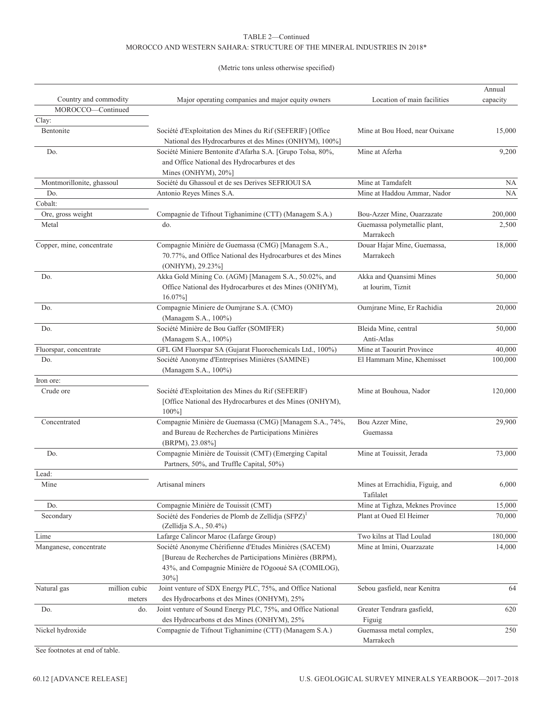# TABLE 2—Continued MOROCCO AND WESTERN SAHARA: STRUCTURE OF THE MINERAL INDUSTRIES IN 2018\*

# (Metric tons unless otherwise specified)

| MOROCCO-Continued<br>Clay:<br>Bentonite<br>Société d'Exploitation des Mines du Rif (SEFERIF) [Office<br>Mine at Bou Hoed, near Ouixane<br>15,000<br>National des Hydrocarbures et des Mines (ONHYM), 100%]<br>Mine at Aferha<br>Société Miniere Bentonite d'Afarha S.A. [Grupo Tolsa, 80%,<br>9,200<br>Do.<br>and Office National des Hydrocarbures et des<br>Mines (ONHYM), 20%]<br>Société du Ghassoul et de ses Derives SEFRIOUI SA<br>Montmorillonite, ghassoul<br>Mine at Tamdafelt<br>NA.<br>Antonio Reyes Mines S.A.<br>Mine at Haddou Ammar, Nador<br>Do.<br>NA.<br>Cobalt:<br>Ore, gross weight<br>Compagnie de Tifnout Tighanimine (CTT) (Managem S.A.)<br>Bou-Azzer Mine, Ouarzazate<br>200,000<br>Guemassa polymetallic plant,<br>Metal<br>do.<br>2,500<br>Marrakech<br>Compagnie Minière de Guemassa (CMG) [Managem S.A.,<br>Copper, mine, concentrate<br>Douar Hajar Mine, Guemassa,<br>18,000<br>70.77%, and Office National des Hydrocarbures et des Mines<br>Marrakech<br>(ONHYM), 29.23%]<br>Akka Gold Mining Co. (AGM) [Managem S.A., 50.02%, and<br>Akka and Quansimi Mines<br>Do.<br>50,000<br>Office National des Hydrocarbures et des Mines (ONHYM),<br>at Iourim, Tiznit<br>16.07%<br>Compagnie Miniere de Oumjrane S.A. (CMO)<br>Oumjrane Mine, Er Rachidia<br>Do.<br>20,000<br>(Managem S.A., 100%)<br>Société Minière de Bou Gaffer (SOMIFER)<br>Bleida Mine, central<br>Do.<br>50,000<br>Anti-Atlas<br>(Managem S.A., 100%)<br>GFL GM Fluorspar SA (Gujarat Fluorochemicals Ltd., 100%)<br>Mine at Taourirt Province<br>40,000<br>Fluorspar, concentrate<br>Société Anonyme d'Entreprises Minières (SAMINE)<br>Do.<br>El Hammam Mine, Khemisset<br>100,000<br>(Managem S.A., 100%)<br>Iron ore:<br>Crude ore<br>Société d'Exploitation des Mines du Rif (SEFERIF)<br>Mine at Bouhoua, Nador<br>120,000<br>[Office National des Hydrocarbures et des Mines (ONHYM),<br>100%]<br>Compagnie Minière de Guemassa (CMG) [Managem S.A., 74%,<br>Bou Azzer Mine,<br>29,900<br>Concentrated<br>and Bureau de Recherches de Participations Minières<br>Guemassa<br>(BRPM), 23.08%]<br>Compagnie Minière de Touissit (CMT) (Emerging Capital<br>Mine at Touissit, Jerada<br>Do.<br>73,000<br>Partners, 50%, and Truffle Capital, 50%)<br>Lead:<br>6,000<br>Mines at Errachidia, Figuig, and<br>Mine<br>Artisanal miners<br>Tafilalet<br>Mine at Tighza, Meknes Province<br>Do.<br>Compagnie Minière de Touissit (CMT)<br>15,000<br>Plant at Oued El Heimer<br>Secondary<br>70,000<br>Société des Fonderies de Plomb de Zellidja (SFPZ)<br>(Zellidja S.A., 50.4%)<br>Lafarge Calincor Maroc (Lafarge Group)<br>Two kilns at Tlad Loulad<br>180,000<br>Société Anonyme Chérifienne d'Etudes Minières (SACEM)<br>Mine at Imini, Ouarzazate<br>14,000<br>Manganese, concentrate<br>[Bureau de Recherches de Participations Minières (BRPM),<br>43%, and Compagnie Minière de l'Ogooué SA (COMILOG),<br>$30%$ ]<br>million cubic<br>Joint venture of SDX Energy PLC, 75%, and Office National<br>Sebou gasfield, near Kenitra<br>64<br>des Hydrocarbons et des Mines (ONHYM), 25%<br>meters<br>Joint venture of Sound Energy PLC, 75%, and Office National<br>Do.<br>Greater Tendrara gasfield,<br>620<br>do.<br>des Hydrocarbons et des Mines (ONHYM), 25%<br>Figuig<br>Guemassa metal complex,<br>Compagnie de Tifnout Tighanimine (CTT) (Managem S.A.)<br>250<br>Marrakech |                       |                                                   |                             | Annual   |
|--------------------------------------------------------------------------------------------------------------------------------------------------------------------------------------------------------------------------------------------------------------------------------------------------------------------------------------------------------------------------------------------------------------------------------------------------------------------------------------------------------------------------------------------------------------------------------------------------------------------------------------------------------------------------------------------------------------------------------------------------------------------------------------------------------------------------------------------------------------------------------------------------------------------------------------------------------------------------------------------------------------------------------------------------------------------------------------------------------------------------------------------------------------------------------------------------------------------------------------------------------------------------------------------------------------------------------------------------------------------------------------------------------------------------------------------------------------------------------------------------------------------------------------------------------------------------------------------------------------------------------------------------------------------------------------------------------------------------------------------------------------------------------------------------------------------------------------------------------------------------------------------------------------------------------------------------------------------------------------------------------------------------------------------------------------------------------------------------------------------------------------------------------------------------------------------------------------------------------------------------------------------------------------------------------------------------------------------------------------------------------------------------------------------------------------------------------------------------------------------------------------------------------------------------------------------------------------------------------------------------------------------------------------------------------------------------------------------------------------------------------------------------------------------------------------------------------------------------------------------------------------------------------------------------------------------------------------------------------------------------------------------------------------------------------------------------------------------------------------------------------------------------------------------------------------------------------------------------------------------------------------------------------------------------------------------------------------------------------------------------------------------|-----------------------|---------------------------------------------------|-----------------------------|----------|
|                                                                                                                                                                                                                                                                                                                                                                                                                                                                                                                                                                                                                                                                                                                                                                                                                                                                                                                                                                                                                                                                                                                                                                                                                                                                                                                                                                                                                                                                                                                                                                                                                                                                                                                                                                                                                                                                                                                                                                                                                                                                                                                                                                                                                                                                                                                                                                                                                                                                                                                                                                                                                                                                                                                                                                                                                                                                                                                                                                                                                                                                                                                                                                                                                                                                                                                                                                                            | Country and commodity | Major operating companies and major equity owners | Location of main facilities | capacity |
|                                                                                                                                                                                                                                                                                                                                                                                                                                                                                                                                                                                                                                                                                                                                                                                                                                                                                                                                                                                                                                                                                                                                                                                                                                                                                                                                                                                                                                                                                                                                                                                                                                                                                                                                                                                                                                                                                                                                                                                                                                                                                                                                                                                                                                                                                                                                                                                                                                                                                                                                                                                                                                                                                                                                                                                                                                                                                                                                                                                                                                                                                                                                                                                                                                                                                                                                                                                            |                       |                                                   |                             |          |
|                                                                                                                                                                                                                                                                                                                                                                                                                                                                                                                                                                                                                                                                                                                                                                                                                                                                                                                                                                                                                                                                                                                                                                                                                                                                                                                                                                                                                                                                                                                                                                                                                                                                                                                                                                                                                                                                                                                                                                                                                                                                                                                                                                                                                                                                                                                                                                                                                                                                                                                                                                                                                                                                                                                                                                                                                                                                                                                                                                                                                                                                                                                                                                                                                                                                                                                                                                                            |                       |                                                   |                             |          |
|                                                                                                                                                                                                                                                                                                                                                                                                                                                                                                                                                                                                                                                                                                                                                                                                                                                                                                                                                                                                                                                                                                                                                                                                                                                                                                                                                                                                                                                                                                                                                                                                                                                                                                                                                                                                                                                                                                                                                                                                                                                                                                                                                                                                                                                                                                                                                                                                                                                                                                                                                                                                                                                                                                                                                                                                                                                                                                                                                                                                                                                                                                                                                                                                                                                                                                                                                                                            |                       |                                                   |                             |          |
|                                                                                                                                                                                                                                                                                                                                                                                                                                                                                                                                                                                                                                                                                                                                                                                                                                                                                                                                                                                                                                                                                                                                                                                                                                                                                                                                                                                                                                                                                                                                                                                                                                                                                                                                                                                                                                                                                                                                                                                                                                                                                                                                                                                                                                                                                                                                                                                                                                                                                                                                                                                                                                                                                                                                                                                                                                                                                                                                                                                                                                                                                                                                                                                                                                                                                                                                                                                            |                       |                                                   |                             |          |
|                                                                                                                                                                                                                                                                                                                                                                                                                                                                                                                                                                                                                                                                                                                                                                                                                                                                                                                                                                                                                                                                                                                                                                                                                                                                                                                                                                                                                                                                                                                                                                                                                                                                                                                                                                                                                                                                                                                                                                                                                                                                                                                                                                                                                                                                                                                                                                                                                                                                                                                                                                                                                                                                                                                                                                                                                                                                                                                                                                                                                                                                                                                                                                                                                                                                                                                                                                                            |                       |                                                   |                             |          |
|                                                                                                                                                                                                                                                                                                                                                                                                                                                                                                                                                                                                                                                                                                                                                                                                                                                                                                                                                                                                                                                                                                                                                                                                                                                                                                                                                                                                                                                                                                                                                                                                                                                                                                                                                                                                                                                                                                                                                                                                                                                                                                                                                                                                                                                                                                                                                                                                                                                                                                                                                                                                                                                                                                                                                                                                                                                                                                                                                                                                                                                                                                                                                                                                                                                                                                                                                                                            |                       |                                                   |                             |          |
|                                                                                                                                                                                                                                                                                                                                                                                                                                                                                                                                                                                                                                                                                                                                                                                                                                                                                                                                                                                                                                                                                                                                                                                                                                                                                                                                                                                                                                                                                                                                                                                                                                                                                                                                                                                                                                                                                                                                                                                                                                                                                                                                                                                                                                                                                                                                                                                                                                                                                                                                                                                                                                                                                                                                                                                                                                                                                                                                                                                                                                                                                                                                                                                                                                                                                                                                                                                            |                       |                                                   |                             |          |
|                                                                                                                                                                                                                                                                                                                                                                                                                                                                                                                                                                                                                                                                                                                                                                                                                                                                                                                                                                                                                                                                                                                                                                                                                                                                                                                                                                                                                                                                                                                                                                                                                                                                                                                                                                                                                                                                                                                                                                                                                                                                                                                                                                                                                                                                                                                                                                                                                                                                                                                                                                                                                                                                                                                                                                                                                                                                                                                                                                                                                                                                                                                                                                                                                                                                                                                                                                                            |                       |                                                   |                             |          |
|                                                                                                                                                                                                                                                                                                                                                                                                                                                                                                                                                                                                                                                                                                                                                                                                                                                                                                                                                                                                                                                                                                                                                                                                                                                                                                                                                                                                                                                                                                                                                                                                                                                                                                                                                                                                                                                                                                                                                                                                                                                                                                                                                                                                                                                                                                                                                                                                                                                                                                                                                                                                                                                                                                                                                                                                                                                                                                                                                                                                                                                                                                                                                                                                                                                                                                                                                                                            |                       |                                                   |                             |          |
|                                                                                                                                                                                                                                                                                                                                                                                                                                                                                                                                                                                                                                                                                                                                                                                                                                                                                                                                                                                                                                                                                                                                                                                                                                                                                                                                                                                                                                                                                                                                                                                                                                                                                                                                                                                                                                                                                                                                                                                                                                                                                                                                                                                                                                                                                                                                                                                                                                                                                                                                                                                                                                                                                                                                                                                                                                                                                                                                                                                                                                                                                                                                                                                                                                                                                                                                                                                            |                       |                                                   |                             |          |
|                                                                                                                                                                                                                                                                                                                                                                                                                                                                                                                                                                                                                                                                                                                                                                                                                                                                                                                                                                                                                                                                                                                                                                                                                                                                                                                                                                                                                                                                                                                                                                                                                                                                                                                                                                                                                                                                                                                                                                                                                                                                                                                                                                                                                                                                                                                                                                                                                                                                                                                                                                                                                                                                                                                                                                                                                                                                                                                                                                                                                                                                                                                                                                                                                                                                                                                                                                                            |                       |                                                   |                             |          |
|                                                                                                                                                                                                                                                                                                                                                                                                                                                                                                                                                                                                                                                                                                                                                                                                                                                                                                                                                                                                                                                                                                                                                                                                                                                                                                                                                                                                                                                                                                                                                                                                                                                                                                                                                                                                                                                                                                                                                                                                                                                                                                                                                                                                                                                                                                                                                                                                                                                                                                                                                                                                                                                                                                                                                                                                                                                                                                                                                                                                                                                                                                                                                                                                                                                                                                                                                                                            |                       |                                                   |                             |          |
|                                                                                                                                                                                                                                                                                                                                                                                                                                                                                                                                                                                                                                                                                                                                                                                                                                                                                                                                                                                                                                                                                                                                                                                                                                                                                                                                                                                                                                                                                                                                                                                                                                                                                                                                                                                                                                                                                                                                                                                                                                                                                                                                                                                                                                                                                                                                                                                                                                                                                                                                                                                                                                                                                                                                                                                                                                                                                                                                                                                                                                                                                                                                                                                                                                                                                                                                                                                            |                       |                                                   |                             |          |
|                                                                                                                                                                                                                                                                                                                                                                                                                                                                                                                                                                                                                                                                                                                                                                                                                                                                                                                                                                                                                                                                                                                                                                                                                                                                                                                                                                                                                                                                                                                                                                                                                                                                                                                                                                                                                                                                                                                                                                                                                                                                                                                                                                                                                                                                                                                                                                                                                                                                                                                                                                                                                                                                                                                                                                                                                                                                                                                                                                                                                                                                                                                                                                                                                                                                                                                                                                                            |                       |                                                   |                             |          |
|                                                                                                                                                                                                                                                                                                                                                                                                                                                                                                                                                                                                                                                                                                                                                                                                                                                                                                                                                                                                                                                                                                                                                                                                                                                                                                                                                                                                                                                                                                                                                                                                                                                                                                                                                                                                                                                                                                                                                                                                                                                                                                                                                                                                                                                                                                                                                                                                                                                                                                                                                                                                                                                                                                                                                                                                                                                                                                                                                                                                                                                                                                                                                                                                                                                                                                                                                                                            |                       |                                                   |                             |          |
|                                                                                                                                                                                                                                                                                                                                                                                                                                                                                                                                                                                                                                                                                                                                                                                                                                                                                                                                                                                                                                                                                                                                                                                                                                                                                                                                                                                                                                                                                                                                                                                                                                                                                                                                                                                                                                                                                                                                                                                                                                                                                                                                                                                                                                                                                                                                                                                                                                                                                                                                                                                                                                                                                                                                                                                                                                                                                                                                                                                                                                                                                                                                                                                                                                                                                                                                                                                            |                       |                                                   |                             |          |
|                                                                                                                                                                                                                                                                                                                                                                                                                                                                                                                                                                                                                                                                                                                                                                                                                                                                                                                                                                                                                                                                                                                                                                                                                                                                                                                                                                                                                                                                                                                                                                                                                                                                                                                                                                                                                                                                                                                                                                                                                                                                                                                                                                                                                                                                                                                                                                                                                                                                                                                                                                                                                                                                                                                                                                                                                                                                                                                                                                                                                                                                                                                                                                                                                                                                                                                                                                                            |                       |                                                   |                             |          |
|                                                                                                                                                                                                                                                                                                                                                                                                                                                                                                                                                                                                                                                                                                                                                                                                                                                                                                                                                                                                                                                                                                                                                                                                                                                                                                                                                                                                                                                                                                                                                                                                                                                                                                                                                                                                                                                                                                                                                                                                                                                                                                                                                                                                                                                                                                                                                                                                                                                                                                                                                                                                                                                                                                                                                                                                                                                                                                                                                                                                                                                                                                                                                                                                                                                                                                                                                                                            |                       |                                                   |                             |          |
|                                                                                                                                                                                                                                                                                                                                                                                                                                                                                                                                                                                                                                                                                                                                                                                                                                                                                                                                                                                                                                                                                                                                                                                                                                                                                                                                                                                                                                                                                                                                                                                                                                                                                                                                                                                                                                                                                                                                                                                                                                                                                                                                                                                                                                                                                                                                                                                                                                                                                                                                                                                                                                                                                                                                                                                                                                                                                                                                                                                                                                                                                                                                                                                                                                                                                                                                                                                            |                       |                                                   |                             |          |
|                                                                                                                                                                                                                                                                                                                                                                                                                                                                                                                                                                                                                                                                                                                                                                                                                                                                                                                                                                                                                                                                                                                                                                                                                                                                                                                                                                                                                                                                                                                                                                                                                                                                                                                                                                                                                                                                                                                                                                                                                                                                                                                                                                                                                                                                                                                                                                                                                                                                                                                                                                                                                                                                                                                                                                                                                                                                                                                                                                                                                                                                                                                                                                                                                                                                                                                                                                                            |                       |                                                   |                             |          |
|                                                                                                                                                                                                                                                                                                                                                                                                                                                                                                                                                                                                                                                                                                                                                                                                                                                                                                                                                                                                                                                                                                                                                                                                                                                                                                                                                                                                                                                                                                                                                                                                                                                                                                                                                                                                                                                                                                                                                                                                                                                                                                                                                                                                                                                                                                                                                                                                                                                                                                                                                                                                                                                                                                                                                                                                                                                                                                                                                                                                                                                                                                                                                                                                                                                                                                                                                                                            |                       |                                                   |                             |          |
|                                                                                                                                                                                                                                                                                                                                                                                                                                                                                                                                                                                                                                                                                                                                                                                                                                                                                                                                                                                                                                                                                                                                                                                                                                                                                                                                                                                                                                                                                                                                                                                                                                                                                                                                                                                                                                                                                                                                                                                                                                                                                                                                                                                                                                                                                                                                                                                                                                                                                                                                                                                                                                                                                                                                                                                                                                                                                                                                                                                                                                                                                                                                                                                                                                                                                                                                                                                            |                       |                                                   |                             |          |
|                                                                                                                                                                                                                                                                                                                                                                                                                                                                                                                                                                                                                                                                                                                                                                                                                                                                                                                                                                                                                                                                                                                                                                                                                                                                                                                                                                                                                                                                                                                                                                                                                                                                                                                                                                                                                                                                                                                                                                                                                                                                                                                                                                                                                                                                                                                                                                                                                                                                                                                                                                                                                                                                                                                                                                                                                                                                                                                                                                                                                                                                                                                                                                                                                                                                                                                                                                                            |                       |                                                   |                             |          |
|                                                                                                                                                                                                                                                                                                                                                                                                                                                                                                                                                                                                                                                                                                                                                                                                                                                                                                                                                                                                                                                                                                                                                                                                                                                                                                                                                                                                                                                                                                                                                                                                                                                                                                                                                                                                                                                                                                                                                                                                                                                                                                                                                                                                                                                                                                                                                                                                                                                                                                                                                                                                                                                                                                                                                                                                                                                                                                                                                                                                                                                                                                                                                                                                                                                                                                                                                                                            |                       |                                                   |                             |          |
|                                                                                                                                                                                                                                                                                                                                                                                                                                                                                                                                                                                                                                                                                                                                                                                                                                                                                                                                                                                                                                                                                                                                                                                                                                                                                                                                                                                                                                                                                                                                                                                                                                                                                                                                                                                                                                                                                                                                                                                                                                                                                                                                                                                                                                                                                                                                                                                                                                                                                                                                                                                                                                                                                                                                                                                                                                                                                                                                                                                                                                                                                                                                                                                                                                                                                                                                                                                            |                       |                                                   |                             |          |
|                                                                                                                                                                                                                                                                                                                                                                                                                                                                                                                                                                                                                                                                                                                                                                                                                                                                                                                                                                                                                                                                                                                                                                                                                                                                                                                                                                                                                                                                                                                                                                                                                                                                                                                                                                                                                                                                                                                                                                                                                                                                                                                                                                                                                                                                                                                                                                                                                                                                                                                                                                                                                                                                                                                                                                                                                                                                                                                                                                                                                                                                                                                                                                                                                                                                                                                                                                                            |                       |                                                   |                             |          |
|                                                                                                                                                                                                                                                                                                                                                                                                                                                                                                                                                                                                                                                                                                                                                                                                                                                                                                                                                                                                                                                                                                                                                                                                                                                                                                                                                                                                                                                                                                                                                                                                                                                                                                                                                                                                                                                                                                                                                                                                                                                                                                                                                                                                                                                                                                                                                                                                                                                                                                                                                                                                                                                                                                                                                                                                                                                                                                                                                                                                                                                                                                                                                                                                                                                                                                                                                                                            |                       |                                                   |                             |          |
|                                                                                                                                                                                                                                                                                                                                                                                                                                                                                                                                                                                                                                                                                                                                                                                                                                                                                                                                                                                                                                                                                                                                                                                                                                                                                                                                                                                                                                                                                                                                                                                                                                                                                                                                                                                                                                                                                                                                                                                                                                                                                                                                                                                                                                                                                                                                                                                                                                                                                                                                                                                                                                                                                                                                                                                                                                                                                                                                                                                                                                                                                                                                                                                                                                                                                                                                                                                            |                       |                                                   |                             |          |
|                                                                                                                                                                                                                                                                                                                                                                                                                                                                                                                                                                                                                                                                                                                                                                                                                                                                                                                                                                                                                                                                                                                                                                                                                                                                                                                                                                                                                                                                                                                                                                                                                                                                                                                                                                                                                                                                                                                                                                                                                                                                                                                                                                                                                                                                                                                                                                                                                                                                                                                                                                                                                                                                                                                                                                                                                                                                                                                                                                                                                                                                                                                                                                                                                                                                                                                                                                                            |                       |                                                   |                             |          |
|                                                                                                                                                                                                                                                                                                                                                                                                                                                                                                                                                                                                                                                                                                                                                                                                                                                                                                                                                                                                                                                                                                                                                                                                                                                                                                                                                                                                                                                                                                                                                                                                                                                                                                                                                                                                                                                                                                                                                                                                                                                                                                                                                                                                                                                                                                                                                                                                                                                                                                                                                                                                                                                                                                                                                                                                                                                                                                                                                                                                                                                                                                                                                                                                                                                                                                                                                                                            |                       |                                                   |                             |          |
|                                                                                                                                                                                                                                                                                                                                                                                                                                                                                                                                                                                                                                                                                                                                                                                                                                                                                                                                                                                                                                                                                                                                                                                                                                                                                                                                                                                                                                                                                                                                                                                                                                                                                                                                                                                                                                                                                                                                                                                                                                                                                                                                                                                                                                                                                                                                                                                                                                                                                                                                                                                                                                                                                                                                                                                                                                                                                                                                                                                                                                                                                                                                                                                                                                                                                                                                                                                            |                       |                                                   |                             |          |
|                                                                                                                                                                                                                                                                                                                                                                                                                                                                                                                                                                                                                                                                                                                                                                                                                                                                                                                                                                                                                                                                                                                                                                                                                                                                                                                                                                                                                                                                                                                                                                                                                                                                                                                                                                                                                                                                                                                                                                                                                                                                                                                                                                                                                                                                                                                                                                                                                                                                                                                                                                                                                                                                                                                                                                                                                                                                                                                                                                                                                                                                                                                                                                                                                                                                                                                                                                                            |                       |                                                   |                             |          |
|                                                                                                                                                                                                                                                                                                                                                                                                                                                                                                                                                                                                                                                                                                                                                                                                                                                                                                                                                                                                                                                                                                                                                                                                                                                                                                                                                                                                                                                                                                                                                                                                                                                                                                                                                                                                                                                                                                                                                                                                                                                                                                                                                                                                                                                                                                                                                                                                                                                                                                                                                                                                                                                                                                                                                                                                                                                                                                                                                                                                                                                                                                                                                                                                                                                                                                                                                                                            |                       |                                                   |                             |          |
|                                                                                                                                                                                                                                                                                                                                                                                                                                                                                                                                                                                                                                                                                                                                                                                                                                                                                                                                                                                                                                                                                                                                                                                                                                                                                                                                                                                                                                                                                                                                                                                                                                                                                                                                                                                                                                                                                                                                                                                                                                                                                                                                                                                                                                                                                                                                                                                                                                                                                                                                                                                                                                                                                                                                                                                                                                                                                                                                                                                                                                                                                                                                                                                                                                                                                                                                                                                            |                       |                                                   |                             |          |
|                                                                                                                                                                                                                                                                                                                                                                                                                                                                                                                                                                                                                                                                                                                                                                                                                                                                                                                                                                                                                                                                                                                                                                                                                                                                                                                                                                                                                                                                                                                                                                                                                                                                                                                                                                                                                                                                                                                                                                                                                                                                                                                                                                                                                                                                                                                                                                                                                                                                                                                                                                                                                                                                                                                                                                                                                                                                                                                                                                                                                                                                                                                                                                                                                                                                                                                                                                                            |                       |                                                   |                             |          |
|                                                                                                                                                                                                                                                                                                                                                                                                                                                                                                                                                                                                                                                                                                                                                                                                                                                                                                                                                                                                                                                                                                                                                                                                                                                                                                                                                                                                                                                                                                                                                                                                                                                                                                                                                                                                                                                                                                                                                                                                                                                                                                                                                                                                                                                                                                                                                                                                                                                                                                                                                                                                                                                                                                                                                                                                                                                                                                                                                                                                                                                                                                                                                                                                                                                                                                                                                                                            |                       |                                                   |                             |          |
|                                                                                                                                                                                                                                                                                                                                                                                                                                                                                                                                                                                                                                                                                                                                                                                                                                                                                                                                                                                                                                                                                                                                                                                                                                                                                                                                                                                                                                                                                                                                                                                                                                                                                                                                                                                                                                                                                                                                                                                                                                                                                                                                                                                                                                                                                                                                                                                                                                                                                                                                                                                                                                                                                                                                                                                                                                                                                                                                                                                                                                                                                                                                                                                                                                                                                                                                                                                            |                       |                                                   |                             |          |
|                                                                                                                                                                                                                                                                                                                                                                                                                                                                                                                                                                                                                                                                                                                                                                                                                                                                                                                                                                                                                                                                                                                                                                                                                                                                                                                                                                                                                                                                                                                                                                                                                                                                                                                                                                                                                                                                                                                                                                                                                                                                                                                                                                                                                                                                                                                                                                                                                                                                                                                                                                                                                                                                                                                                                                                                                                                                                                                                                                                                                                                                                                                                                                                                                                                                                                                                                                                            |                       |                                                   |                             |          |
|                                                                                                                                                                                                                                                                                                                                                                                                                                                                                                                                                                                                                                                                                                                                                                                                                                                                                                                                                                                                                                                                                                                                                                                                                                                                                                                                                                                                                                                                                                                                                                                                                                                                                                                                                                                                                                                                                                                                                                                                                                                                                                                                                                                                                                                                                                                                                                                                                                                                                                                                                                                                                                                                                                                                                                                                                                                                                                                                                                                                                                                                                                                                                                                                                                                                                                                                                                                            |                       |                                                   |                             |          |
|                                                                                                                                                                                                                                                                                                                                                                                                                                                                                                                                                                                                                                                                                                                                                                                                                                                                                                                                                                                                                                                                                                                                                                                                                                                                                                                                                                                                                                                                                                                                                                                                                                                                                                                                                                                                                                                                                                                                                                                                                                                                                                                                                                                                                                                                                                                                                                                                                                                                                                                                                                                                                                                                                                                                                                                                                                                                                                                                                                                                                                                                                                                                                                                                                                                                                                                                                                                            |                       |                                                   |                             |          |
|                                                                                                                                                                                                                                                                                                                                                                                                                                                                                                                                                                                                                                                                                                                                                                                                                                                                                                                                                                                                                                                                                                                                                                                                                                                                                                                                                                                                                                                                                                                                                                                                                                                                                                                                                                                                                                                                                                                                                                                                                                                                                                                                                                                                                                                                                                                                                                                                                                                                                                                                                                                                                                                                                                                                                                                                                                                                                                                                                                                                                                                                                                                                                                                                                                                                                                                                                                                            |                       |                                                   |                             |          |
|                                                                                                                                                                                                                                                                                                                                                                                                                                                                                                                                                                                                                                                                                                                                                                                                                                                                                                                                                                                                                                                                                                                                                                                                                                                                                                                                                                                                                                                                                                                                                                                                                                                                                                                                                                                                                                                                                                                                                                                                                                                                                                                                                                                                                                                                                                                                                                                                                                                                                                                                                                                                                                                                                                                                                                                                                                                                                                                                                                                                                                                                                                                                                                                                                                                                                                                                                                                            | Lime                  |                                                   |                             |          |
|                                                                                                                                                                                                                                                                                                                                                                                                                                                                                                                                                                                                                                                                                                                                                                                                                                                                                                                                                                                                                                                                                                                                                                                                                                                                                                                                                                                                                                                                                                                                                                                                                                                                                                                                                                                                                                                                                                                                                                                                                                                                                                                                                                                                                                                                                                                                                                                                                                                                                                                                                                                                                                                                                                                                                                                                                                                                                                                                                                                                                                                                                                                                                                                                                                                                                                                                                                                            |                       |                                                   |                             |          |
|                                                                                                                                                                                                                                                                                                                                                                                                                                                                                                                                                                                                                                                                                                                                                                                                                                                                                                                                                                                                                                                                                                                                                                                                                                                                                                                                                                                                                                                                                                                                                                                                                                                                                                                                                                                                                                                                                                                                                                                                                                                                                                                                                                                                                                                                                                                                                                                                                                                                                                                                                                                                                                                                                                                                                                                                                                                                                                                                                                                                                                                                                                                                                                                                                                                                                                                                                                                            |                       |                                                   |                             |          |
|                                                                                                                                                                                                                                                                                                                                                                                                                                                                                                                                                                                                                                                                                                                                                                                                                                                                                                                                                                                                                                                                                                                                                                                                                                                                                                                                                                                                                                                                                                                                                                                                                                                                                                                                                                                                                                                                                                                                                                                                                                                                                                                                                                                                                                                                                                                                                                                                                                                                                                                                                                                                                                                                                                                                                                                                                                                                                                                                                                                                                                                                                                                                                                                                                                                                                                                                                                                            |                       |                                                   |                             |          |
|                                                                                                                                                                                                                                                                                                                                                                                                                                                                                                                                                                                                                                                                                                                                                                                                                                                                                                                                                                                                                                                                                                                                                                                                                                                                                                                                                                                                                                                                                                                                                                                                                                                                                                                                                                                                                                                                                                                                                                                                                                                                                                                                                                                                                                                                                                                                                                                                                                                                                                                                                                                                                                                                                                                                                                                                                                                                                                                                                                                                                                                                                                                                                                                                                                                                                                                                                                                            |                       |                                                   |                             |          |
|                                                                                                                                                                                                                                                                                                                                                                                                                                                                                                                                                                                                                                                                                                                                                                                                                                                                                                                                                                                                                                                                                                                                                                                                                                                                                                                                                                                                                                                                                                                                                                                                                                                                                                                                                                                                                                                                                                                                                                                                                                                                                                                                                                                                                                                                                                                                                                                                                                                                                                                                                                                                                                                                                                                                                                                                                                                                                                                                                                                                                                                                                                                                                                                                                                                                                                                                                                                            | Natural gas           |                                                   |                             |          |
|                                                                                                                                                                                                                                                                                                                                                                                                                                                                                                                                                                                                                                                                                                                                                                                                                                                                                                                                                                                                                                                                                                                                                                                                                                                                                                                                                                                                                                                                                                                                                                                                                                                                                                                                                                                                                                                                                                                                                                                                                                                                                                                                                                                                                                                                                                                                                                                                                                                                                                                                                                                                                                                                                                                                                                                                                                                                                                                                                                                                                                                                                                                                                                                                                                                                                                                                                                                            |                       |                                                   |                             |          |
|                                                                                                                                                                                                                                                                                                                                                                                                                                                                                                                                                                                                                                                                                                                                                                                                                                                                                                                                                                                                                                                                                                                                                                                                                                                                                                                                                                                                                                                                                                                                                                                                                                                                                                                                                                                                                                                                                                                                                                                                                                                                                                                                                                                                                                                                                                                                                                                                                                                                                                                                                                                                                                                                                                                                                                                                                                                                                                                                                                                                                                                                                                                                                                                                                                                                                                                                                                                            |                       |                                                   |                             |          |
|                                                                                                                                                                                                                                                                                                                                                                                                                                                                                                                                                                                                                                                                                                                                                                                                                                                                                                                                                                                                                                                                                                                                                                                                                                                                                                                                                                                                                                                                                                                                                                                                                                                                                                                                                                                                                                                                                                                                                                                                                                                                                                                                                                                                                                                                                                                                                                                                                                                                                                                                                                                                                                                                                                                                                                                                                                                                                                                                                                                                                                                                                                                                                                                                                                                                                                                                                                                            |                       |                                                   |                             |          |
|                                                                                                                                                                                                                                                                                                                                                                                                                                                                                                                                                                                                                                                                                                                                                                                                                                                                                                                                                                                                                                                                                                                                                                                                                                                                                                                                                                                                                                                                                                                                                                                                                                                                                                                                                                                                                                                                                                                                                                                                                                                                                                                                                                                                                                                                                                                                                                                                                                                                                                                                                                                                                                                                                                                                                                                                                                                                                                                                                                                                                                                                                                                                                                                                                                                                                                                                                                                            | Nickel hydroxide      |                                                   |                             |          |
|                                                                                                                                                                                                                                                                                                                                                                                                                                                                                                                                                                                                                                                                                                                                                                                                                                                                                                                                                                                                                                                                                                                                                                                                                                                                                                                                                                                                                                                                                                                                                                                                                                                                                                                                                                                                                                                                                                                                                                                                                                                                                                                                                                                                                                                                                                                                                                                                                                                                                                                                                                                                                                                                                                                                                                                                                                                                                                                                                                                                                                                                                                                                                                                                                                                                                                                                                                                            |                       |                                                   |                             |          |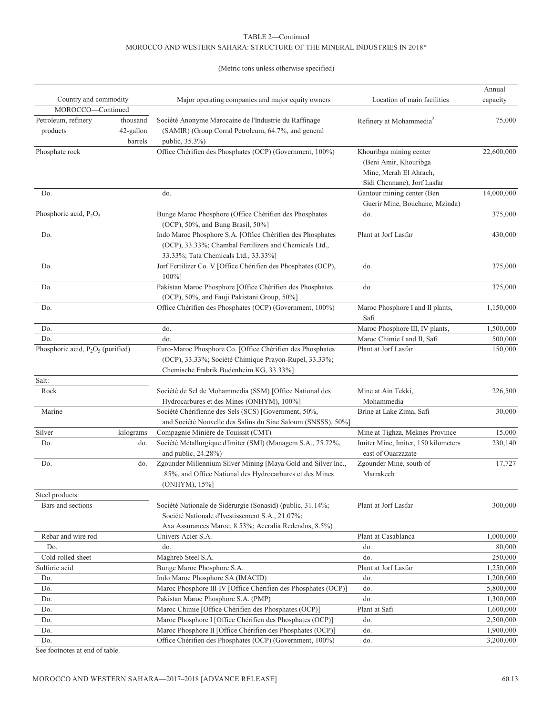# TABLE 2—Continued MOROCCO AND WESTERN SAHARA: STRUCTURE OF THE MINERAL INDUSTRIES IN 2018\*

#### (Metric tons unless otherwise specified)

|                                            |                                  |                                                                                                                                                                        |                                                                                                           | Annual     |
|--------------------------------------------|----------------------------------|------------------------------------------------------------------------------------------------------------------------------------------------------------------------|-----------------------------------------------------------------------------------------------------------|------------|
| Country and commodity<br>MOROCCO-Continued |                                  | Major operating companies and major equity owners                                                                                                                      | Location of main facilities                                                                               | capacity   |
|                                            |                                  |                                                                                                                                                                        |                                                                                                           |            |
| Petroleum, refinery<br>products            | thousand<br>42-gallon<br>barrels | Société Anonyme Marocaine de l'Industrie du Raffinage<br>(SAMIR) (Group Corral Petroleum, 64.7%, and general<br>public, 35.3%)                                         | Refinery at Mohammedia <sup>2</sup>                                                                       | 75,000     |
| Phosphate rock                             |                                  | Office Chérifien des Phosphates (OCP) (Government, 100%)                                                                                                               | Khouribga mining center<br>(Beni Amir, Khouribga<br>Mine, Merah El Ahrach,<br>Sidi Chennane), Jorf Lasfar | 22,600,000 |
| Do.                                        |                                  | do.                                                                                                                                                                    | Gantour mining center (Ben<br>Guerir Mine, Bouchane, Mzinda)                                              | 14,000,000 |
| Phosphoric acid, $P_2O_5$                  |                                  | Bunge Maroc Phosphore (Office Chérifien des Phosphates<br>(OCP), 50%, and Bung Brasil, 50%]                                                                            | do.                                                                                                       | 375,000    |
| Do.                                        |                                  | Indo Maroc Phosphore S.A. [Office Chérifien des Phosphates<br>(OCP), 33.33%; Chambal Fertilizers and Chemicals Ltd.,<br>33.33%; Tata Chemicals Ltd., 33.33%]           | Plant at Jorf Lasfar                                                                                      | 430,000    |
| Do.                                        |                                  | Jorf Fertilizer Co. V [Office Chérifien des Phosphates (OCP),<br>$100\%$ ]                                                                                             | do.                                                                                                       | 375,000    |
| Do.                                        |                                  | Pakistan Maroc Phosphore [Office Chérifien des Phosphates<br>(OCP), 50%, and Fauji Pakistani Group, 50%]                                                               | do.                                                                                                       | 375,000    |
| Do.                                        |                                  | Office Chérifien des Phosphates (OCP) (Government, 100%)                                                                                                               | Maroc Phosphore I and II plants,<br>Safi                                                                  | 1,150,000  |
| Do.                                        |                                  | do.                                                                                                                                                                    | Maroc Phosphore III, IV plants,                                                                           | 1,500,000  |
| Do.                                        |                                  | do.                                                                                                                                                                    | Maroc Chimie I and II, Safi                                                                               | 500,000    |
| Phosphoric acid, $P_2O_5$ (purified)       |                                  | Euro-Maroc Phosphore Co. [Office Chérifien des Phosphates<br>(OCP), 33.33%; Société Chimique Prayon-Rupel, 33.33%;<br>Chemische Frabrik Budenheim KG, 33.33%]          | Plant at Jorf Lasfar                                                                                      | 150,000    |
| Salt:                                      |                                  |                                                                                                                                                                        |                                                                                                           |            |
| Rock                                       |                                  | Société de Sel de Mohammedia (SSM) [Office National des<br>Hydrocarbures et des Mines (ONHYM), 100%]                                                                   | Mine at Ain Tekki,<br>Mohammedia                                                                          | 226,500    |
| Marine                                     |                                  | Société Chérifienne des Sels (SCS) [Government, 50%,<br>and Société Nouvelle des Salins du Sine Saloum (SNSSS), 50%]                                                   | Brine at Lake Zima, Safi                                                                                  | 30,000     |
| Silver                                     | kilograms                        | Compagnie Minière de Touissit (CMT)                                                                                                                                    | Mine at Tighza, Meknes Province                                                                           | 15,000     |
| Do.                                        | do.                              | Société Métallurgique d'Imiter (SMI) (Managem S.A., 75.72%,<br>and public, 24.28%)                                                                                     | Imiter Mine, Imiter, 150 kilometers<br>east of Ouarzazate                                                 | 230,140    |
| Do.                                        | do.                              | Zgounder Millennium Silver Mining [Maya Gold and Silver Inc.,<br>85%, and Office National des Hydrocarbures et des Mines<br>(ONHYM), 15%]                              | Zgounder Mine, south of<br>Marrakech                                                                      | 17,727     |
| Steel products:                            |                                  |                                                                                                                                                                        |                                                                                                           |            |
| Bars and sections                          |                                  | Société Nationale de Sidérurgie (Sonasid) (public, 31.14%;<br>Société Nationale d'Ivestissement S.A., 21.07%;<br>Axa Assurances Maroc, 8.53%; Aceralia Redendos, 8.5%) | Plant at Jorf Lasfar                                                                                      | 300,000    |
| Rebar and wire rod                         |                                  | Univers Acier S.A.                                                                                                                                                     | Plant at Casablanca                                                                                       | 1,000,000  |
| Do.                                        |                                  | do.                                                                                                                                                                    | do.                                                                                                       | 80,000     |
| Cold-rolled sheet                          |                                  | Maghreb Steel S.A.                                                                                                                                                     | do.                                                                                                       | 250,000    |
| Sulfuric acid                              |                                  | Bunge Maroc Phosphore S.A.                                                                                                                                             | Plant at Jorf Lasfar                                                                                      | 1,250,000  |
| Do.                                        |                                  | Indo Maroc Phosphore SA (IMACID)                                                                                                                                       | do.                                                                                                       | 1,200,000  |
| Do.                                        |                                  | Maroc Phosphore III-IV [Office Chérifien des Phosphates (OCP)]                                                                                                         | do.                                                                                                       | 5,800,000  |
| Do.                                        |                                  | Pakistan Maroc Phosphore S.A. (PMP)                                                                                                                                    | do.                                                                                                       | 1,300,000  |
| Do.                                        |                                  | Maroc Chimie [Office Chérifien des Phosphates (OCP)]                                                                                                                   | Plant at Safi                                                                                             | 1,600,000  |
| Do.                                        |                                  | Maroc Phosphore I [Office Chérifien des Phosphates (OCP)]                                                                                                              | do.                                                                                                       | 2,500,000  |
| Do.                                        |                                  | Maroc Phosphore II [Office Chérifien des Phosphates (OCP)]                                                                                                             | do.                                                                                                       | 1,900,000  |
| Do.                                        |                                  | Office Chérifien des Phosphates (OCP) (Government, 100%)                                                                                                               | do.                                                                                                       | 3,200,000  |